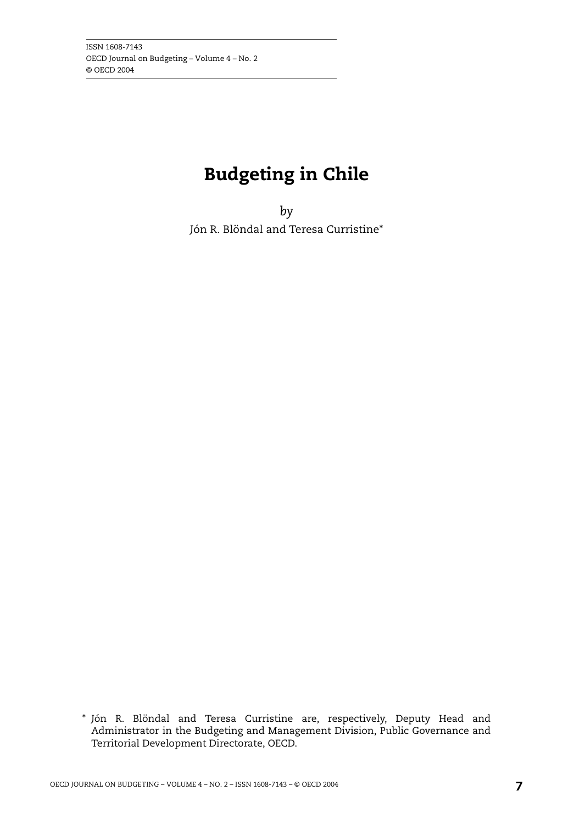## **Budgeting in Chile**

*by* Jón R. Blöndal and Teresa Curristine\*

<sup>\*</sup> Jón R. Blöndal and Teresa Curristine are, respectively, Deputy Head and Administrator in the Budgeting and Management Division, Public Governance and Territorial Development Directorate, OECD.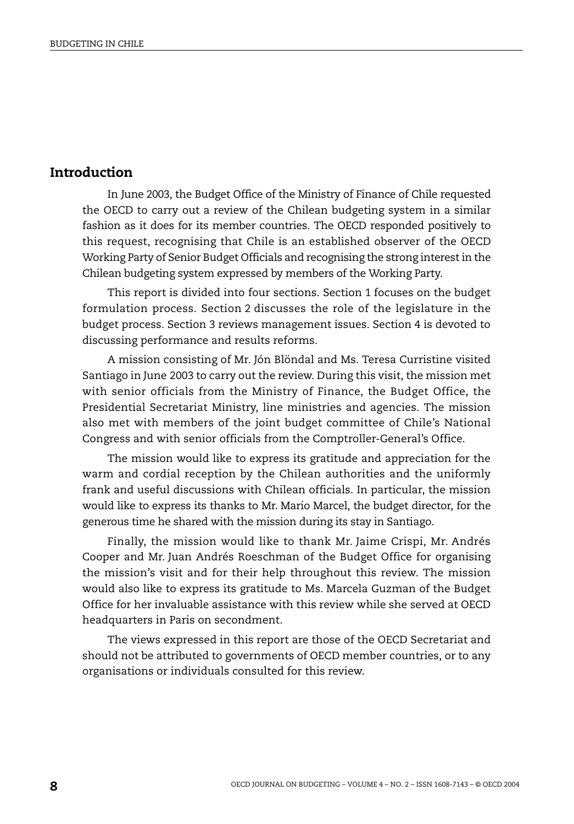## **Introduction**

In June 2003, the Budget Office of the Ministry of Finance of Chile requested the OECD to carry out a review of the Chilean budgeting system in a similar fashion as it does for its member countries. The OECD responded positively to this request, recognising that Chile is an established observer of the OECD Working Party of Senior Budget Officials and recognising the strong interest in the Chilean budgeting system expressed by members of the Working Party.

This report is divided into four sections. Section 1 focuses on the budget formulation process. Section 2 discusses the role of the legislature in the budget process. Section 3 reviews management issues. Section 4 is devoted to discussing performance and results reforms.

A mission consisting of Mr. Jón Blöndal and Ms. Teresa Curristine visited Santiago in June 2003 to carry out the review. During this visit, the mission met with senior officials from the Ministry of Finance, the Budget Office, the Presidential Secretariat Ministry, line ministries and agencies. The mission also met with members of the joint budget committee of Chile's National Congress and with senior officials from the Comptroller-General's Office.

The mission would like to express its gratitude and appreciation for the warm and cordial reception by the Chilean authorities and the uniformly frank and useful discussions with Chilean officials. In particular, the mission would like to express its thanks to Mr. Mario Marcel, the budget director, for the generous time he shared with the mission during its stay in Santiago.

Finally, the mission would like to thank Mr. Jaime Crispi, Mr. Andrés Cooper and Mr. Juan Andrés Roeschman of the Budget Office for organising the mission's visit and for their help throughout this review. The mission would also like to express its gratitude to Ms. Marcela Guzman of the Budget Office for her invaluable assistance with this review while she served at OECD headquarters in Paris on secondment.

The views expressed in this report are those of the OECD Secretariat and should not be attributed to governments of OECD member countries, or to any organisations or individuals consulted for this review.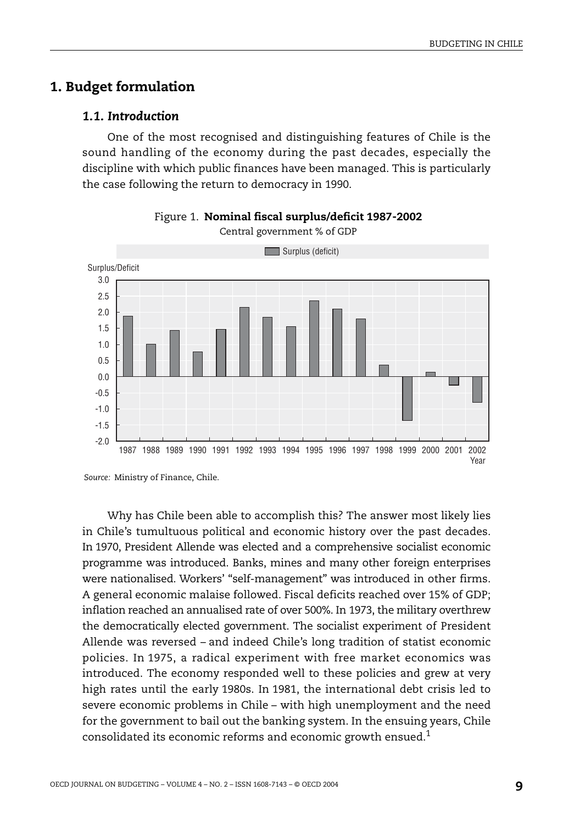## **1. Budget formulation**

#### *1.1. Introduction*

One of the most recognised and distinguishing features of Chile is the sound handling of the economy during the past decades, especially the discipline with which public finances have been managed. This is particularly the case following the return to democracy in 1990.





Why has Chile been able to accomplish this? The answer most likely lies in Chile's tumultuous political and economic history over the past decades. In 1970, President Allende was elected and a comprehensive socialist economic programme was introduced. Banks, mines and many other foreign enterprises were nationalised. Workers' "self-management" was introduced in other firms. A general economic malaise followed. Fiscal deficits reached over 15% of GDP; inflation reached an annualised rate of over 500%. In 1973, the military overthrew the democratically elected government. The socialist experiment of President Allende was reversed – and indeed Chile's long tradition of statist economic policies. In 1975, a radical experiment with free market economics was introduced. The economy responded well to these policies and grew at very high rates until the early 1980s. In 1981, the international debt crisis led to severe economic problems in Chile – with high unemployment and the need for the government to bail out the banking system. In the ensuing years, Chile consolidated its economic reforms and economic growth ensued.1

*Source:* Ministry of Finance, Chile.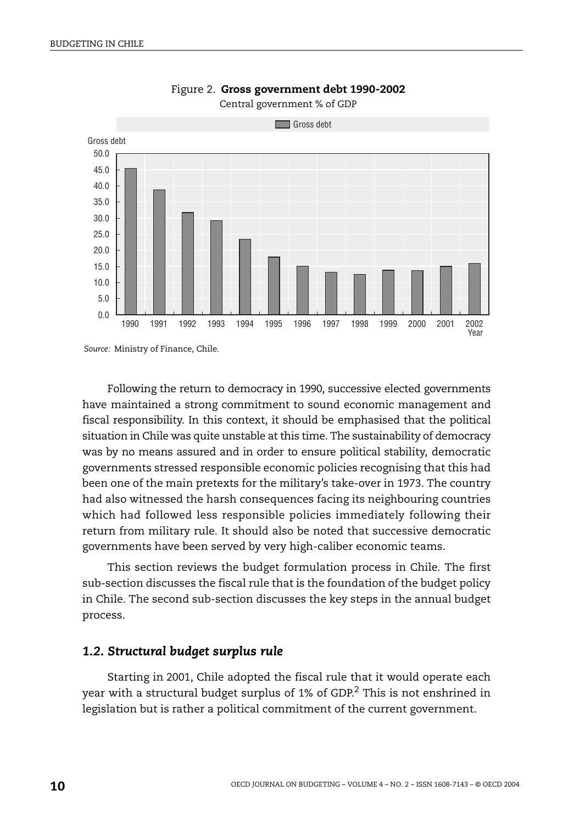

Figure 2. **Gross government debt 1990-2002** Central government % of GDP

*Source:* Ministry of Finance, Chile.

Following the return to democracy in 1990, successive elected governments have maintained a strong commitment to sound economic management and fiscal responsibility. In this context, it should be emphasised that the political situation in Chile was quite unstable at this time. The sustainability of democracy was by no means assured and in order to ensure political stability, democratic governments stressed responsible economic policies recognising that this had been one of the main pretexts for the military's take-over in 1973. The country had also witnessed the harsh consequences facing its neighbouring countries which had followed less responsible policies immediately following their return from military rule. It should also be noted that successive democratic governments have been served by very high-caliber economic teams.

This section reviews the budget formulation process in Chile. The first sub-section discusses the fiscal rule that is the foundation of the budget policy in Chile. The second sub-section discusses the key steps in the annual budget process.

#### *1.2. Structural budget surplus rule*

Starting in 2001, Chile adopted the fiscal rule that it would operate each year with a structural budget surplus of 1% of GDP.<sup>2</sup> This is not enshrined in legislation but is rather a political commitment of the current government.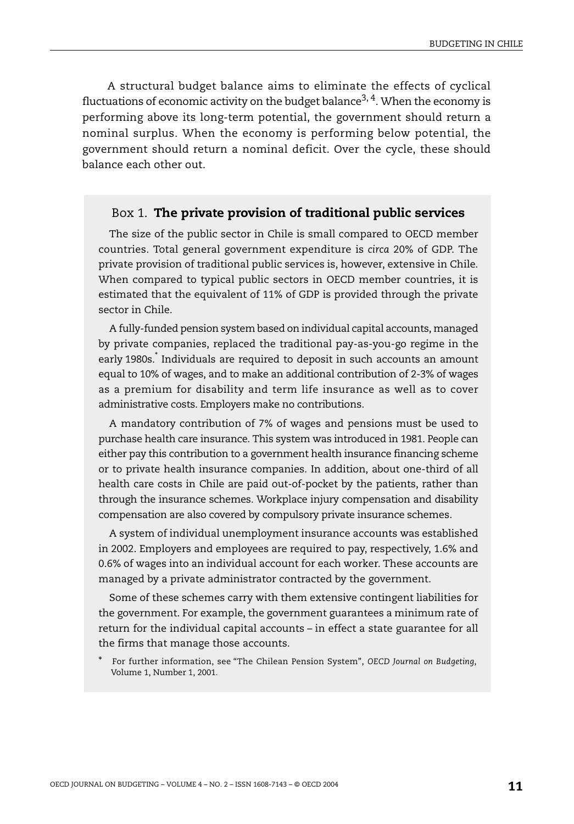A structural budget balance aims to eliminate the effects of cyclical fluctuations of economic activity on the budget balance<sup>3, 4</sup>. When the economy is performing above its long-term potential, the government should return a nominal surplus. When the economy is performing below potential, the government should return a nominal deficit. Over the cycle, these should balance each other out.

#### Box 1. **The private provision of traditional public services**

The size of the public sector in Chile is small compared to OECD member countries. Total general government expenditure is *circa* 20% of GDP. The private provision of traditional public services is, however, extensive in Chile. When compared to typical public sectors in OECD member countries, it is estimated that the equivalent of 11% of GDP is provided through the private sector in Chile.

A fully-funded pension system based on individual capital accounts, managed by private companies, replaced the traditional pay-as-you-go regime in the early 1980s.\* Individuals are required to deposit in such accounts an amount equal to 10% of wages, and to make an additional contribution of 2-3% of wages as a premium for disability and term life insurance as well as to cover administrative costs. Employers make no contributions.

A mandatory contribution of 7% of wages and pensions must be used to purchase health care insurance. This system was introduced in 1981. People can either pay this contribution to a government health insurance financing scheme or to private health insurance companies. In addition, about one-third of all health care costs in Chile are paid out-of-pocket by the patients, rather than through the insurance schemes. Workplace injury compensation and disability compensation are also covered by compulsory private insurance schemes.

A system of individual unemployment insurance accounts was established in 2002. Employers and employees are required to pay, respectively, 1.6% and 0.6% of wages into an individual account for each worker. These accounts are managed by a private administrator contracted by the government.

Some of these schemes carry with them extensive contingent liabilities for the government. For example, the government guarantees a minimum rate of return for the individual capital accounts – in effect a state guarantee for all the firms that manage those accounts.

<sup>\*</sup> For further information, see "The Chilean Pension System", *OECD Journal on Budgeting*, Volume 1, Number 1, 2001.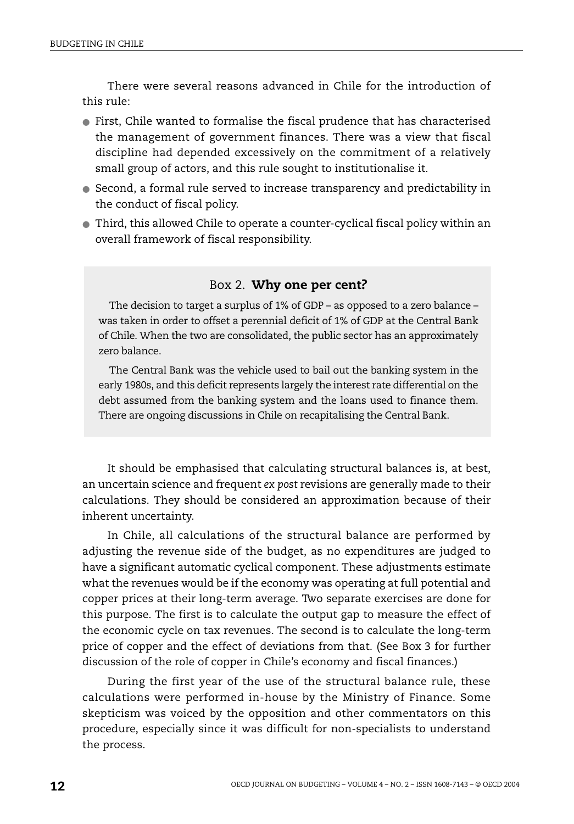There were several reasons advanced in Chile for the introduction of this rule:

- First, Chile wanted to formalise the fiscal prudence that has characterised the management of government finances. There was a view that fiscal discipline had depended excessively on the commitment of a relatively small group of actors, and this rule sought to institutionalise it.
- Second, a formal rule served to increase transparency and predictability in the conduct of fiscal policy.
- Third, this allowed Chile to operate a counter-cyclical fiscal policy within an overall framework of fiscal responsibility.

#### Box 2. **Why one per cent?**

The decision to target a surplus of 1% of GDP – as opposed to a zero balance – was taken in order to offset a perennial deficit of 1% of GDP at the Central Bank of Chile. When the two are consolidated, the public sector has an approximately zero balance.

The Central Bank was the vehicle used to bail out the banking system in the early 1980s, and this deficit represents largely the interest rate differential on the debt assumed from the banking system and the loans used to finance them. There are ongoing discussions in Chile on recapitalising the Central Bank.

It should be emphasised that calculating structural balances is, at best, an uncertain science and frequent *ex post* revisions are generally made to their calculations. They should be considered an approximation because of their inherent uncertainty.

In Chile, all calculations of the structural balance are performed by adjusting the revenue side of the budget, as no expenditures are judged to have a significant automatic cyclical component. These adjustments estimate what the revenues would be if the economy was operating at full potential and copper prices at their long-term average. Two separate exercises are done for this purpose. The first is to calculate the output gap to measure the effect of the economic cycle on tax revenues. The second is to calculate the long-term price of copper and the effect of deviations from that. (See [Box 3](#page-6-0) for further discussion of the role of copper in Chile's economy and fiscal finances.)

During the first year of the use of the structural balance rule, these calculations were performed in-house by the Ministry of Finance. Some skepticism was voiced by the opposition and other commentators on this procedure, especially since it was difficult for non-specialists to understand the process.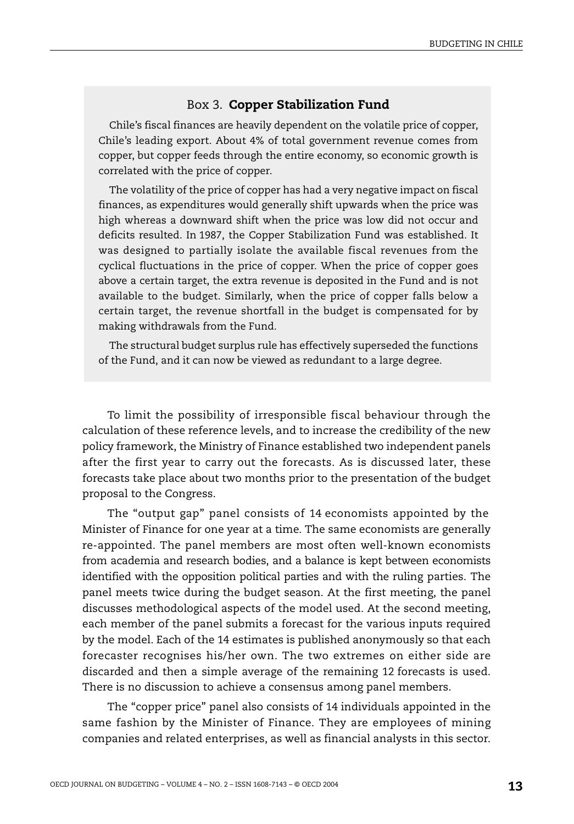#### Box 3. **Copper Stabilization Fund**

<span id="page-6-0"></span>Chile's fiscal finances are heavily dependent on the volatile price of copper, Chile's leading export. About 4% of total government revenue comes from copper, but copper feeds through the entire economy, so economic growth is correlated with the price of copper.

The volatility of the price of copper has had a very negative impact on fiscal finances, as expenditures would generally shift upwards when the price was high whereas a downward shift when the price was low did not occur and deficits resulted. In 1987, the Copper Stabilization Fund was established. It was designed to partially isolate the available fiscal revenues from the cyclical fluctuations in the price of copper. When the price of copper goes above a certain target, the extra revenue is deposited in the Fund and is not available to the budget. Similarly, when the price of copper falls below a certain target, the revenue shortfall in the budget is compensated for by making withdrawals from the Fund.

The structural budget surplus rule has effectively superseded the functions of the Fund, and it can now be viewed as redundant to a large degree.

To limit the possibility of irresponsible fiscal behaviour through the calculation of these reference levels, and to increase the credibility of the new policy framework, the Ministry of Finance established two independent panels after the first year to carry out the forecasts. As is discussed later, these forecasts take place about two months prior to the presentation of the budget proposal to the Congress.

The "output gap" panel consists of 14 economists appointed by the Minister of Finance for one year at a time. The same economists are generally re-appointed. The panel members are most often well-known economists from academia and research bodies, and a balance is kept between economists identified with the opposition political parties and with the ruling parties. The panel meets twice during the budget season. At the first meeting, the panel discusses methodological aspects of the model used. At the second meeting, each member of the panel submits a forecast for the various inputs required by the model. Each of the 14 estimates is published anonymously so that each forecaster recognises his/her own. The two extremes on either side are discarded and then a simple average of the remaining 12 forecasts is used. There is no discussion to achieve a consensus among panel members.

The "copper price" panel also consists of 14 individuals appointed in the same fashion by the Minister of Finance. They are employees of mining companies and related enterprises, as well as financial analysts in this sector.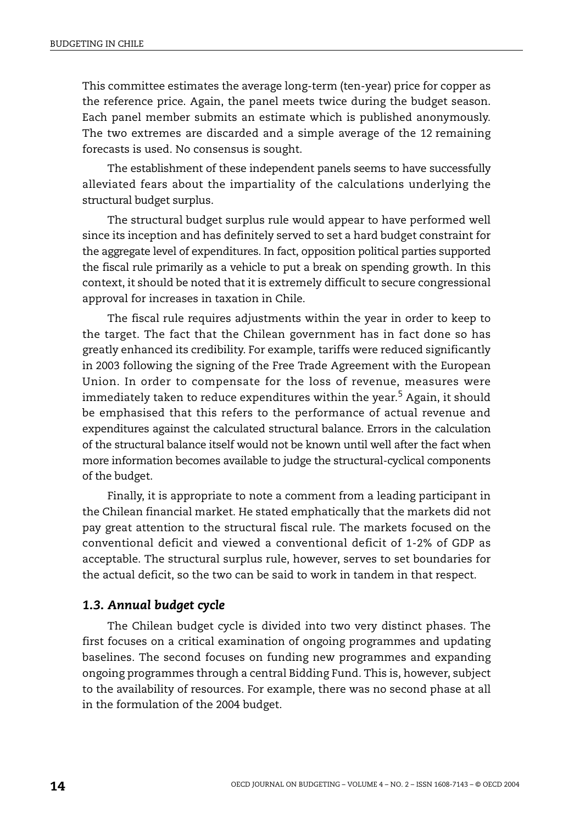This committee estimates the average long-term (ten-year) price for copper as the reference price. Again, the panel meets twice during the budget season. Each panel member submits an estimate which is published anonymously. The two extremes are discarded and a simple average of the 12 remaining forecasts is used. No consensus is sought.

The establishment of these independent panels seems to have successfully alleviated fears about the impartiality of the calculations underlying the structural budget surplus.

The structural budget surplus rule would appear to have performed well since its inception and has definitely served to set a hard budget constraint for the aggregate level of expenditures. In fact, opposition political parties supported the fiscal rule primarily as a vehicle to put a break on spending growth. In this context, it should be noted that it is extremely difficult to secure congressional approval for increases in taxation in Chile.

The fiscal rule requires adjustments within the year in order to keep to the target. The fact that the Chilean government has in fact done so has greatly enhanced its credibility. For example, tariffs were reduced significantly in 2003 following the signing of the Free Trade Agreement with the European Union. In order to compensate for the loss of revenue, measures were immediately taken to reduce expenditures within the year.<sup>5</sup> Again, it should be emphasised that this refers to the performance of actual revenue and expenditures against the calculated structural balance. Errors in the calculation of the structural balance itself would not be known until well after the fact when more information becomes available to judge the structural-cyclical components of the budget.

Finally, it is appropriate to note a comment from a leading participant in the Chilean financial market. He stated emphatically that the markets did not pay great attention to the structural fiscal rule. The markets focused on the conventional deficit and viewed a conventional deficit of 1-2% of GDP as acceptable. The structural surplus rule, however, serves to set boundaries for the actual deficit, so the two can be said to work in tandem in that respect.

#### *1.3. Annual budget cycle*

The Chilean budget cycle is divided into two very distinct phases. The first focuses on a critical examination of ongoing programmes and updating baselines. The second focuses on funding new programmes and expanding ongoing programmes through a central Bidding Fund. This is, however, subject to the availability of resources. For example, there was no second phase at all in the formulation of the 2004 budget.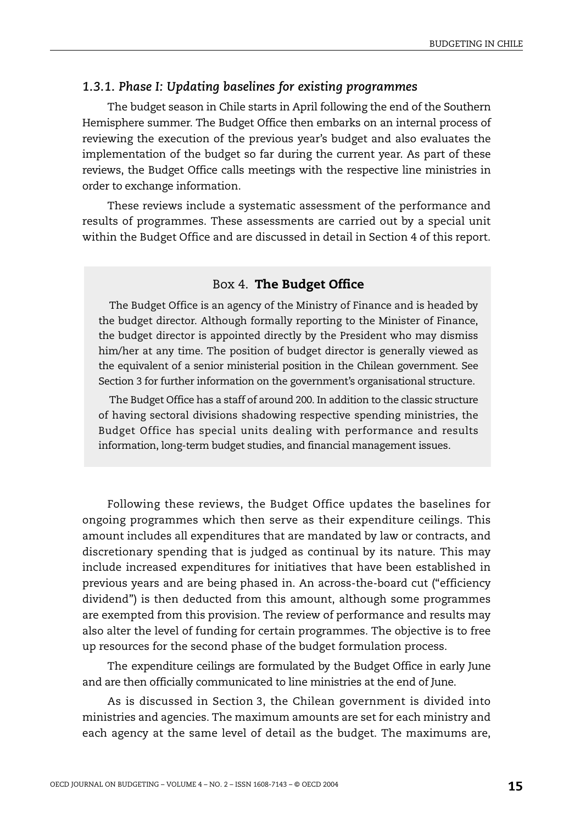#### *1.3.1. Phase I: Updating baselines for existing programmes*

The budget season in Chile starts in April following the end of the Southern Hemisphere summer. The Budget Office then embarks on an internal process of reviewing the execution of the previous year's budget and also evaluates the implementation of the budget so far during the current year. As part of these reviews, the Budget Office calls meetings with the respective line ministries in order to exchange information.

These reviews include a systematic assessment of the performance and results of programmes. These assessments are carried out by a special unit within the Budget Office and are discussed in detail in Section 4 of this report.

#### Box 4. **The Budget Office**

The Budget Office is an agency of the Ministry of Finance and is headed by the budget director. Although formally reporting to the Minister of Finance, the budget director is appointed directly by the President who may dismiss him/her at any time. The position of budget director is generally viewed as the equivalent of a senior ministerial position in the Chilean government. See Section 3 for further information on the government's organisational structure.

The Budget Office has a staff of around 200. In addition to the classic structure of having sectoral divisions shadowing respective spending ministries, the Budget Office has special units dealing with performance and results information, long-term budget studies, and financial management issues.

Following these reviews, the Budget Office updates the baselines for ongoing programmes which then serve as their expenditure ceilings. This amount includes all expenditures that are mandated by law or contracts, and discretionary spending that is judged as continual by its nature. This may include increased expenditures for initiatives that have been established in previous years and are being phased in. An across-the-board cut ("efficiency dividend") is then deducted from this amount, although some programmes are exempted from this provision. The review of performance and results may also alter the level of funding for certain programmes. The objective is to free up resources for the second phase of the budget formulation process.

The expenditure ceilings are formulated by the Budget Office in early June and are then officially communicated to line ministries at the end of June.

As is discussed in Section 3, the Chilean government is divided into ministries and agencies. The maximum amounts are set for each ministry and each agency at the same level of detail as the budget. The maximums are,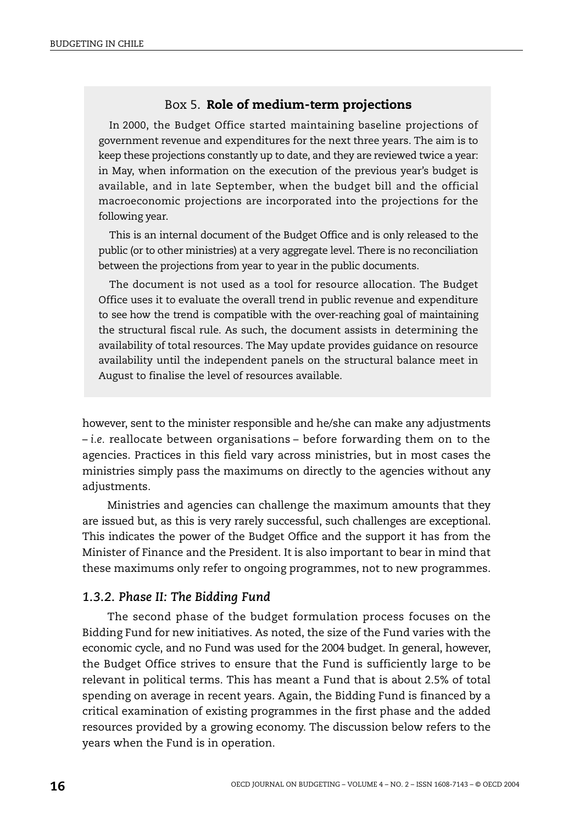#### Box 5. **Role of medium-term projections**

In 2000, the Budget Office started maintaining baseline projections of government revenue and expenditures for the next three years. The aim is to keep these projections constantly up to date, and they are reviewed twice a year: in May, when information on the execution of the previous year's budget is available, and in late September, when the budget bill and the official macroeconomic projections are incorporated into the projections for the following year.

This is an internal document of the Budget Office and is only released to the public (or to other ministries) at a very aggregate level. There is no reconciliation between the projections from year to year in the public documents.

The document is not used as a tool for resource allocation. The Budget Office uses it to evaluate the overall trend in public revenue and expenditure to see how the trend is compatible with the over-reaching goal of maintaining the structural fiscal rule. As such, the document assists in determining the availability of total resources. The May update provides guidance on resource availability until the independent panels on the structural balance meet in August to finalise the level of resources available.

however, sent to the minister responsible and he/she can make any adjustments – *i.e.* reallocate between organisations – before forwarding them on to the agencies. Practices in this field vary across ministries, but in most cases the ministries simply pass the maximums on directly to the agencies without any adjustments.

Ministries and agencies can challenge the maximum amounts that they are issued but, as this is very rarely successful, such challenges are exceptional. This indicates the power of the Budget Office and the support it has from the Minister of Finance and the President. It is also important to bear in mind that these maximums only refer to ongoing programmes, not to new programmes.

#### *1.3.2. Phase II: The Bidding Fund*

The second phase of the budget formulation process focuses on the Bidding Fund for new initiatives. As noted, the size of the Fund varies with the economic cycle, and no Fund was used for the 2004 budget. In general, however, the Budget Office strives to ensure that the Fund is sufficiently large to be relevant in political terms. This has meant a Fund that is about 2.5% of total spending on average in recent years. Again, the Bidding Fund is financed by a critical examination of existing programmes in the first phase and the added resources provided by a growing economy. The discussion below refers to the years when the Fund is in operation.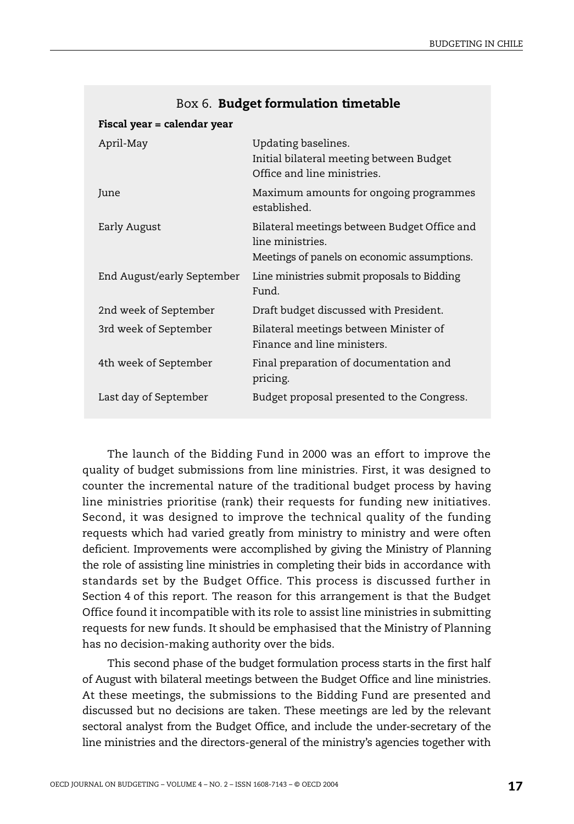| Fiscal year = calendar year |                                                                                                                 |
|-----------------------------|-----------------------------------------------------------------------------------------------------------------|
| April-May                   | Updating baselines.<br>Initial bilateral meeting between Budget<br>Office and line ministries.                  |
| June                        | Maximum amounts for ongoing programmes<br>established.                                                          |
| Early August                | Bilateral meetings between Budget Office and<br>line ministries.<br>Meetings of panels on economic assumptions. |
| End August/early September  | Line ministries submit proposals to Bidding<br>Fund                                                             |
| 2nd week of September       | Draft budget discussed with President.                                                                          |
| 3rd week of September       | Bilateral meetings between Minister of<br>Finance and line ministers.                                           |
| 4th week of September       | Final preparation of documentation and<br>pricing.                                                              |
| Last day of September       | Budget proposal presented to the Congress.                                                                      |

#### Box 6. **Budget formulation timetable**

The launch of the Bidding Fund in 2000 was an effort to improve the quality of budget submissions from line ministries. First, it was designed to counter the incremental nature of the traditional budget process by having line ministries prioritise (rank) their requests for funding new initiatives. Second, it was designed to improve the technical quality of the funding requests which had varied greatly from ministry to ministry and were often deficient. Improvements were accomplished by giving the Ministry of Planning the role of assisting line ministries in completing their bids in accordance with standards set by the Budget Office. This process is discussed further in Section 4 of this report. The reason for this arrangement is that the Budget Office found it incompatible with its role to assist line ministries in submitting requests for new funds. It should be emphasised that the Ministry of Planning has no decision-making authority over the bids.

This second phase of the budget formulation process starts in the first half of August with bilateral meetings between the Budget Office and line ministries. At these meetings, the submissions to the Bidding Fund are presented and discussed but no decisions are taken. These meetings are led by the relevant sectoral analyst from the Budget Office, and include the under-secretary of the line ministries and the directors-general of the ministry's agencies together with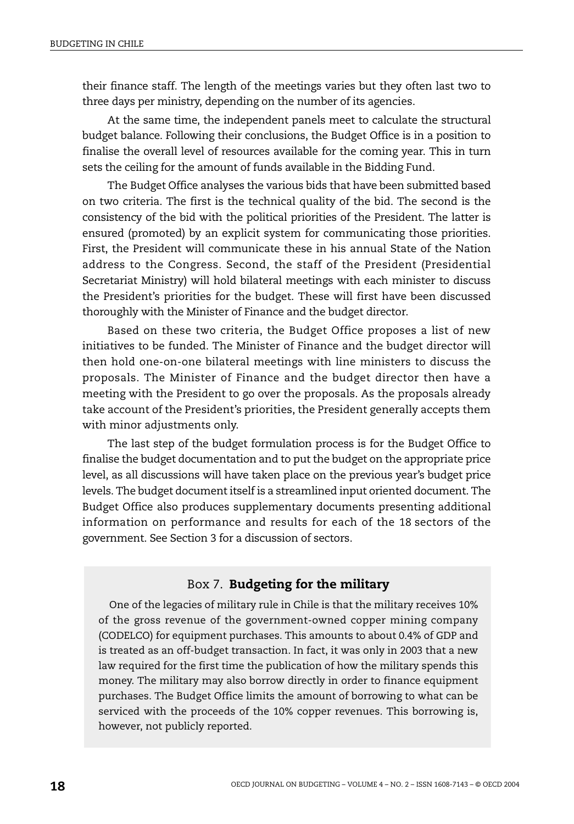their finance staff. The length of the meetings varies but they often last two to three days per ministry, depending on the number of its agencies.

At the same time, the independent panels meet to calculate the structural budget balance. Following their conclusions, the Budget Office is in a position to finalise the overall level of resources available for the coming year. This in turn sets the ceiling for the amount of funds available in the Bidding Fund.

The Budget Office analyses the various bids that have been submitted based on two criteria. The first is the technical quality of the bid. The second is the consistency of the bid with the political priorities of the President. The latter is ensured (promoted) by an explicit system for communicating those priorities. First, the President will communicate these in his annual State of the Nation address to the Congress. Second, the staff of the President (Presidential Secretariat Ministry) will hold bilateral meetings with each minister to discuss the President's priorities for the budget. These will first have been discussed thoroughly with the Minister of Finance and the budget director.

Based on these two criteria, the Budget Office proposes a list of new initiatives to be funded. The Minister of Finance and the budget director will then hold one-on-one bilateral meetings with line ministers to discuss the proposals. The Minister of Finance and the budget director then have a meeting with the President to go over the proposals. As the proposals already take account of the President's priorities, the President generally accepts them with minor adjustments only.

The last step of the budget formulation process is for the Budget Office to finalise the budget documentation and to put the budget on the appropriate price level, as all discussions will have taken place on the previous year's budget price levels. The budget document itself is a streamlined input oriented document. The Budget Office also produces supplementary documents presenting additional information on performance and results for each of the 18 sectors of the government. See Section 3 for a discussion of sectors.

#### Box 7. **Budgeting for the military**

One of the legacies of military rule in Chile is that the military receives 10% of the gross revenue of the government-owned copper mining company (CODELCO) for equipment purchases. This amounts to about 0.4% of GDP and is treated as an off-budget transaction. In fact, it was only in 2003 that a new law required for the first time the publication of how the military spends this money. The military may also borrow directly in order to finance equipment purchases. The Budget Office limits the amount of borrowing to what can be serviced with the proceeds of the 10% copper revenues. This borrowing is, however, not publicly reported.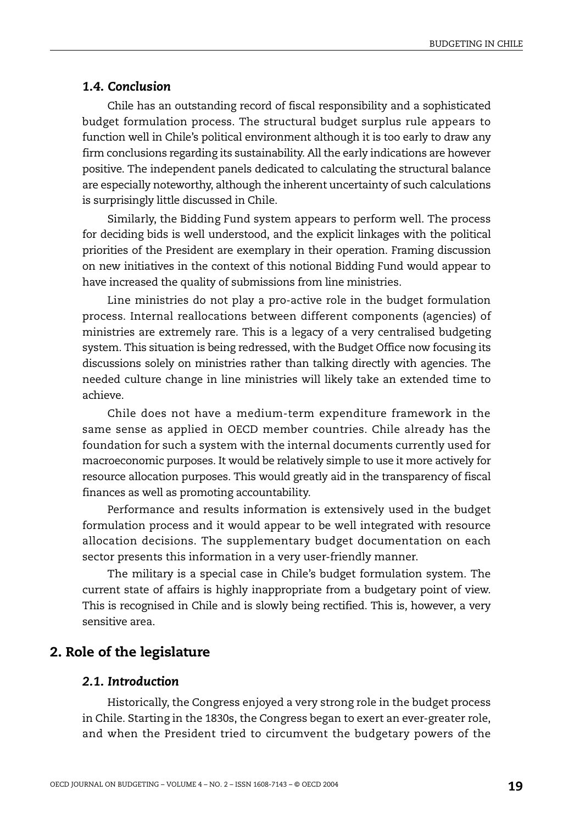#### *1.4. Conclusion*

Chile has an outstanding record of fiscal responsibility and a sophisticated budget formulation process. The structural budget surplus rule appears to function well in Chile's political environment although it is too early to draw any firm conclusions regarding its sustainability. All the early indications are however positive. The independent panels dedicated to calculating the structural balance are especially noteworthy, although the inherent uncertainty of such calculations is surprisingly little discussed in Chile.

Similarly, the Bidding Fund system appears to perform well. The process for deciding bids is well understood, and the explicit linkages with the political priorities of the President are exemplary in their operation. Framing discussion on new initiatives in the context of this notional Bidding Fund would appear to have increased the quality of submissions from line ministries.

Line ministries do not play a pro-active role in the budget formulation process. Internal reallocations between different components (agencies) of ministries are extremely rare. This is a legacy of a very centralised budgeting system. This situation is being redressed, with the Budget Office now focusing its discussions solely on ministries rather than talking directly with agencies. The needed culture change in line ministries will likely take an extended time to achieve.

Chile does not have a medium-term expenditure framework in the same sense as applied in OECD member countries. Chile already has the foundation for such a system with the internal documents currently used for macroeconomic purposes. It would be relatively simple to use it more actively for resource allocation purposes. This would greatly aid in the transparency of fiscal finances as well as promoting accountability.

Performance and results information is extensively used in the budget formulation process and it would appear to be well integrated with resource allocation decisions. The supplementary budget documentation on each sector presents this information in a very user-friendly manner.

The military is a special case in Chile's budget formulation system. The current state of affairs is highly inappropriate from a budgetary point of view. This is recognised in Chile and is slowly being rectified. This is, however, a very sensitive area.

## **2. Role of the legislature**

#### *2.1. Introduction*

Historically, the Congress enjoyed a very strong role in the budget process in Chile. Starting in the 1830s, the Congress began to exert an ever-greater role, and when the President tried to circumvent the budgetary powers of the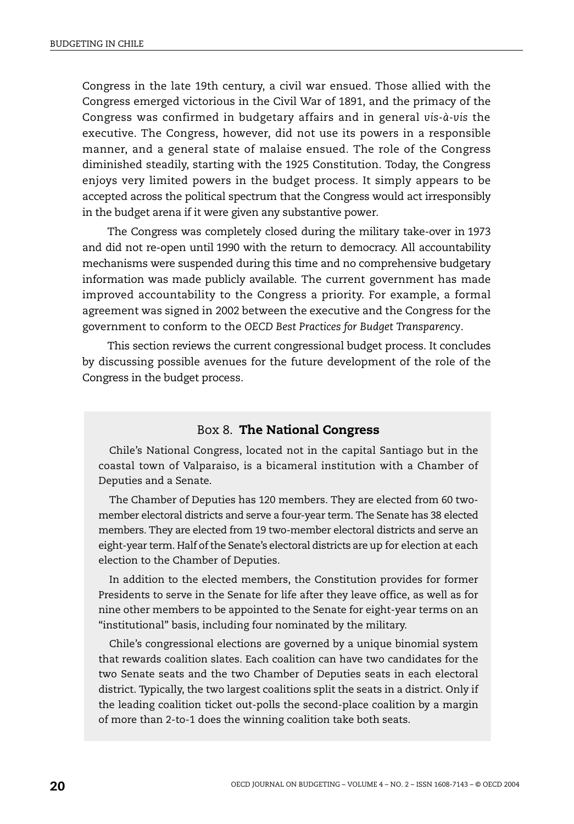Congress in the late 19th century, a civil war ensued. Those allied with the Congress emerged victorious in the Civil War of 1891, and the primacy of the Congress was confirmed in budgetary affairs and in general *vis-à-vis* the executive. The Congress, however, did not use its powers in a responsible manner, and a general state of malaise ensued. The role of the Congress diminished steadily, starting with the 1925 Constitution. Today, the Congress enjoys very limited powers in the budget process. It simply appears to be accepted across the political spectrum that the Congress would act irresponsibly in the budget arena if it were given any substantive power.

The Congress was completely closed during the military take-over in 1973 and did not re-open until 1990 with the return to democracy. All accountability mechanisms were suspended during this time and no comprehensive budgetary information was made publicly available. The current government has made improved accountability to the Congress a priority. For example, a formal agreement was signed in 2002 between the executive and the Congress for the government to conform to the *OECD Best Practices for Budget Transparency*.

This section reviews the current congressional budget process. It concludes by discussing possible avenues for the future development of the role of the Congress in the budget process.

#### Box 8. **The National Congress**

Chile's National Congress, located not in the capital Santiago but in the coastal town of Valparaiso, is a bicameral institution with a Chamber of Deputies and a Senate.

The Chamber of Deputies has 120 members. They are elected from 60 twomember electoral districts and serve a four-year term. The Senate has 38 elected members. They are elected from 19 two-member electoral districts and serve an eight-year term. Half of the Senate's electoral districts are up for election at each election to the Chamber of Deputies.

In addition to the elected members, the Constitution provides for former Presidents to serve in the Senate for life after they leave office, as well as for nine other members to be appointed to the Senate for eight-year terms on an "institutional" basis, including four nominated by the military.

Chile's congressional elections are governed by a unique binomial system that rewards coalition slates. Each coalition can have two candidates for the two Senate seats and the two Chamber of Deputies seats in each electoral district. Typically, the two largest coalitions split the seats in a district. Only if the leading coalition ticket out-polls the second-place coalition by a margin of more than 2-to-1 does the winning coalition take both seats.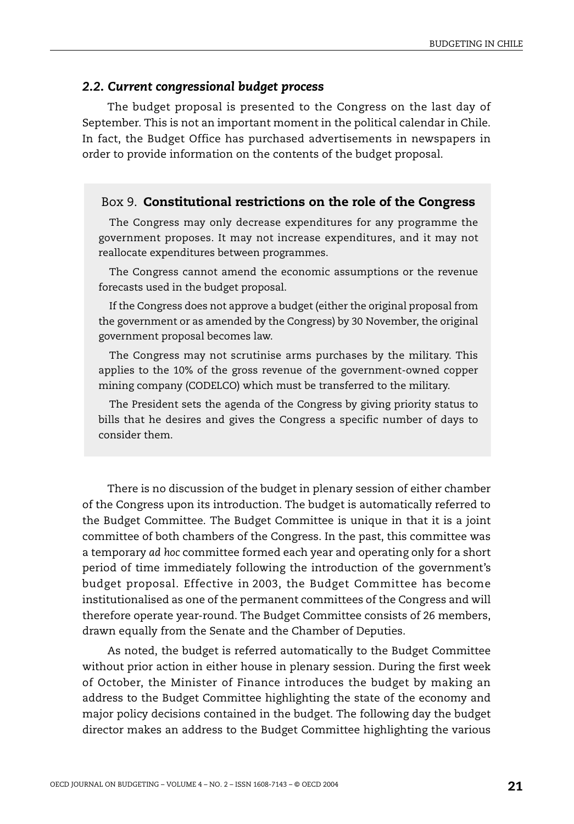#### *2.2. Current congressional budget process*

The budget proposal is presented to the Congress on the last day of September. This is not an important moment in the political calendar in Chile. In fact, the Budget Office has purchased advertisements in newspapers in order to provide information on the contents of the budget proposal.

#### <span id="page-14-0"></span>Box 9. **Constitutional restrictions on the role of the Congress**

The Congress may only decrease expenditures for any programme the government proposes. It may not increase expenditures, and it may not reallocate expenditures between programmes.

The Congress cannot amend the economic assumptions or the revenue forecasts used in the budget proposal.

If the Congress does not approve a budget (either the original proposal from the government or as amended by the Congress) by 30 November, the original government proposal becomes law.

The Congress may not scrutinise arms purchases by the military. This applies to the 10% of the gross revenue of the government-owned copper mining company (CODELCO) which must be transferred to the military.

The President sets the agenda of the Congress by giving priority status to bills that he desires and gives the Congress a specific number of days to consider them.

There is no discussion of the budget in plenary session of either chamber of the Congress upon its introduction. The budget is automatically referred to the Budget Committee. The Budget Committee is unique in that it is a joint committee of both chambers of the Congress. In the past, this committee was a temporary *ad hoc* committee formed each year and operating only for a short period of time immediately following the introduction of the government's budget proposal. Effective in 2003, the Budget Committee has become institutionalised as one of the permanent committees of the Congress and will therefore operate year-round. The Budget Committee consists of 26 members, drawn equally from the Senate and the Chamber of Deputies.

As noted, the budget is referred automatically to the Budget Committee without prior action in either house in plenary session. During the first week of October, the Minister of Finance introduces the budget by making an address to the Budget Committee highlighting the state of the economy and major policy decisions contained in the budget. The following day the budget director makes an address to the Budget Committee highlighting the various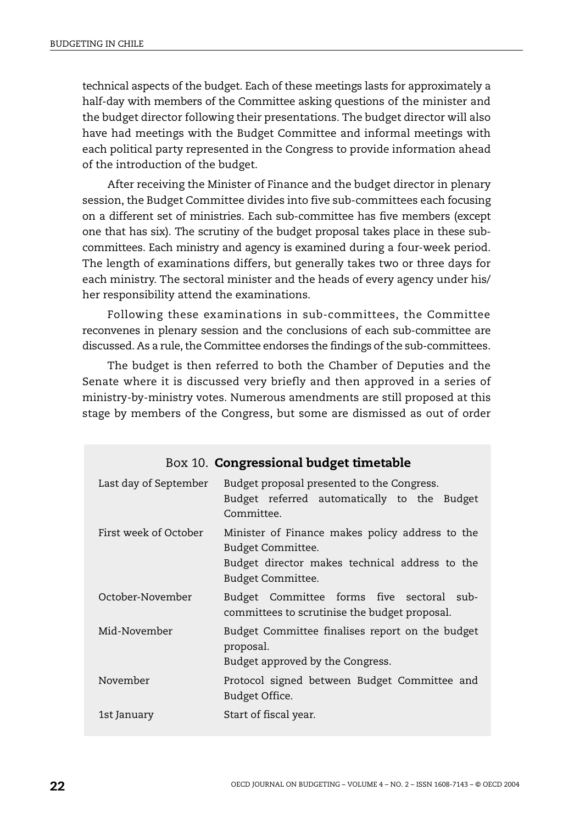technical aspects of the budget. Each of these meetings lasts for approximately a half-day with members of the Committee asking questions of the minister and the budget director following their presentations. The budget director will also have had meetings with the Budget Committee and informal meetings with each political party represented in the Congress to provide information ahead of the introduction of the budget.

After receiving the Minister of Finance and the budget director in plenary session, the Budget Committee divides into five sub-committees each focusing on a different set of ministries. Each sub-committee has five members (except one that has six). The scrutiny of the budget proposal takes place in these subcommittees. Each ministry and agency is examined during a four-week period. The length of examinations differs, but generally takes two or three days for each ministry. The sectoral minister and the heads of every agency under his/ her responsibility attend the examinations.

Following these examinations in sub-committees, the Committee reconvenes in plenary session and the conclusions of each sub-committee are discussed. As a rule, the Committee endorses the findings of the sub-committees.

The budget is then referred to both the Chamber of Deputies and the Senate where it is discussed very briefly and then approved in a series of ministry-by-ministry votes. Numerous amendments are still proposed at this stage by members of the Congress, but some are dismissed as out of order

|                       | Box 10. <b>Congressional budget timetable</b>                                                                                               |
|-----------------------|---------------------------------------------------------------------------------------------------------------------------------------------|
| Last day of September | Budget proposal presented to the Congress.<br>Budget referred automatically to the Budget<br>Committee.                                     |
| First week of October | Minister of Finance makes policy address to the<br>Budget Committee.<br>Budget director makes technical address to the<br>Budget Committee. |
| October-November      | Budget Committee forms five sectoral sub-<br>committees to scrutinise the budget proposal.                                                  |
| Mid-November          | Budget Committee finalises report on the budget<br>proposal.<br>Budget approved by the Congress.                                            |
| November              | Protocol signed between Budget Committee and<br>Budget Office.                                                                              |
| 1st January           | Start of fiscal year.                                                                                                                       |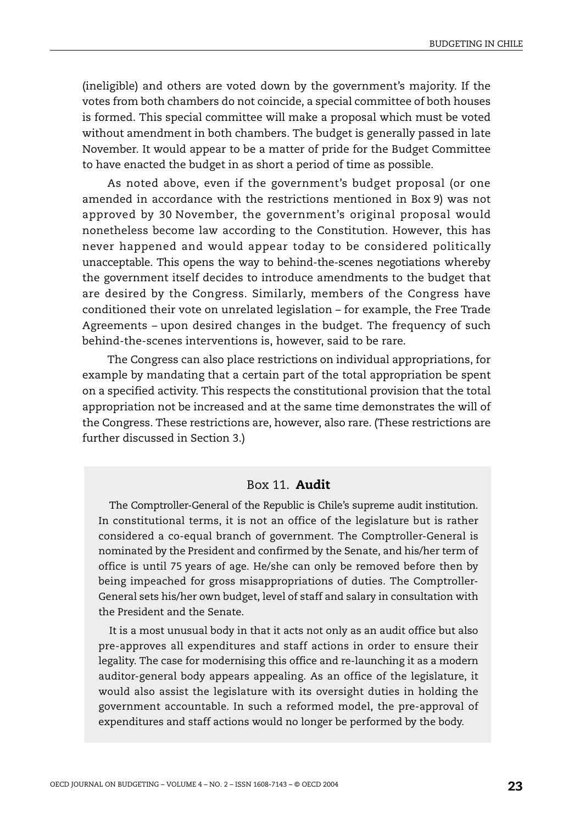(ineligible) and others are voted down by the government's majority. If the votes from both chambers do not coincide, a special committee of both houses is formed. This special committee will make a proposal which must be voted without amendment in both chambers. The budget is generally passed in late November. It would appear to be a matter of pride for the Budget Committee to have enacted the budget in as short a period of time as possible.

As noted above, even if the government's budget proposal (or one amended in accordance with the restrictions mentioned in [Box 9\)](#page-14-0) was not approved by 30 November, the government's original proposal would nonetheless become law according to the Constitution. However, this has never happened and would appear today to be considered politically unacceptable. This opens the way to behind-the-scenes negotiations whereby the government itself decides to introduce amendments to the budget that are desired by the Congress. Similarly, members of the Congress have conditioned their vote on unrelated legislation – for example, the Free Trade Agreements – upon desired changes in the budget. The frequency of such behind-the-scenes interventions is, however, said to be rare.

The Congress can also place restrictions on individual appropriations, for example by mandating that a certain part of the total appropriation be spent on a specified activity. This respects the constitutional provision that the total appropriation not be increased and at the same time demonstrates the will of the Congress. These restrictions are, however, also rare. (These restrictions are further discussed in Section 3.)

#### Box 11. **Audit**

The Comptroller-General of the Republic is Chile's supreme audit institution. In constitutional terms, it is not an office of the legislature but is rather considered a co-equal branch of government. The Comptroller-General is nominated by the President and confirmed by the Senate, and his/her term of office is until 75 years of age. He/she can only be removed before then by being impeached for gross misappropriations of duties. The Comptroller-General sets his/her own budget, level of staff and salary in consultation with the President and the Senate.

It is a most unusual body in that it acts not only as an audit office but also pre-approves all expenditures and staff actions in order to ensure their legality. The case for modernising this office and re-launching it as a modern auditor-general body appears appealing. As an office of the legislature, it would also assist the legislature with its oversight duties in holding the government accountable. In such a reformed model, the pre-approval of expenditures and staff actions would no longer be performed by the body.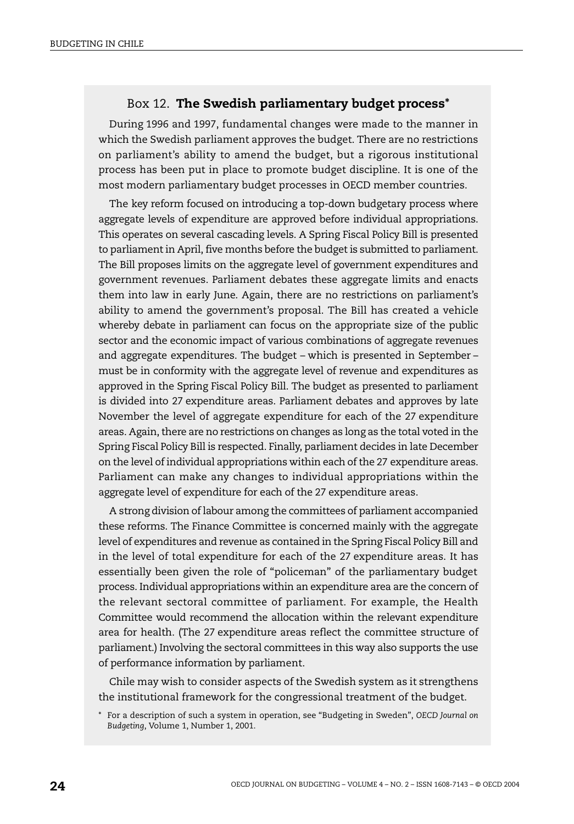## Box 12. **The Swedish parliamentary budget process\***

During 1996 and 1997, fundamental changes were made to the manner in which the Swedish parliament approves the budget. There are no restrictions on parliament's ability to amend the budget, but a rigorous institutional process has been put in place to promote budget discipline. It is one of the most modern parliamentary budget processes in OECD member countries.

The key reform focused on introducing a top-down budgetary process where aggregate levels of expenditure are approved before individual appropriations. This operates on several cascading levels. A Spring Fiscal Policy Bill is presented to parliament in April, five months before the budget is submitted to parliament. The Bill proposes limits on the aggregate level of government expenditures and government revenues. Parliament debates these aggregate limits and enacts them into law in early June. Again, there are no restrictions on parliament's ability to amend the government's proposal. The Bill has created a vehicle whereby debate in parliament can focus on the appropriate size of the public sector and the economic impact of various combinations of aggregate revenues and aggregate expenditures. The budget – which is presented in September – must be in conformity with the aggregate level of revenue and expenditures as approved in the Spring Fiscal Policy Bill. The budget as presented to parliament is divided into 27 expenditure areas. Parliament debates and approves by late November the level of aggregate expenditure for each of the 27 expenditure areas. Again, there are no restrictions on changes as long as the total voted in the Spring Fiscal Policy Bill is respected. Finally, parliament decides in late December on the level of individual appropriations within each of the 27 expenditure areas. Parliament can make any changes to individual appropriations within the aggregate level of expenditure for each of the 27 expenditure areas.

A strong division of labour among the committees of parliament accompanied these reforms. The Finance Committee is concerned mainly with the aggregate level of expenditures and revenue as contained in the Spring Fiscal Policy Bill and in the level of total expenditure for each of the 27 expenditure areas. It has essentially been given the role of "policeman" of the parliamentary budget process. Individual appropriations within an expenditure area are the concern of the relevant sectoral committee of parliament. For example, the Health Committee would recommend the allocation within the relevant expenditure area for health. (The 27 expenditure areas reflect the committee structure of parliament.) Involving the sectoral committees in this way also supports the use of performance information by parliament.

Chile may wish to consider aspects of the Swedish system as it strengthens the institutional framework for the congressional treatment of the budget.

<sup>\*</sup> For a description of such a system in operation, see "Budgeting in Sweden", *OECD Journal on Budgeting*, Volume 1, Number 1, 2001.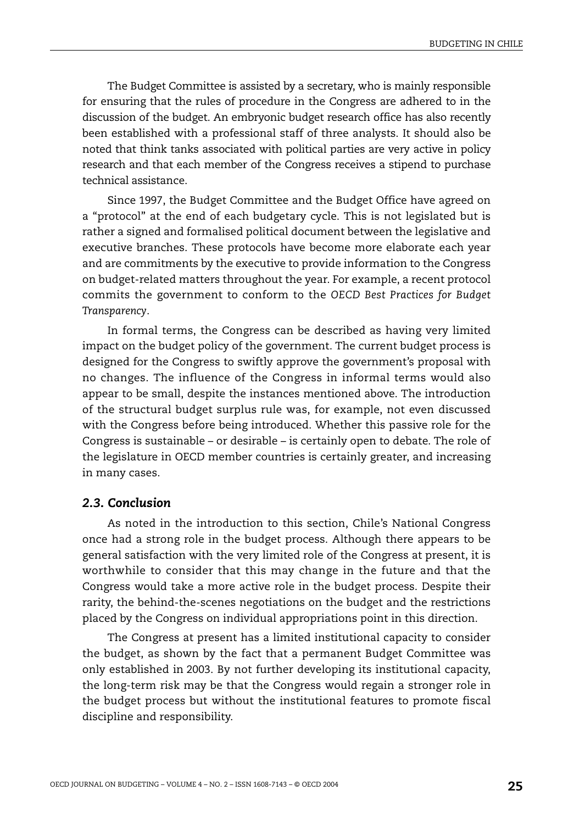The Budget Committee is assisted by a secretary, who is mainly responsible for ensuring that the rules of procedure in the Congress are adhered to in the discussion of the budget. An embryonic budget research office has also recently been established with a professional staff of three analysts. It should also be noted that think tanks associated with political parties are very active in policy research and that each member of the Congress receives a stipend to purchase technical assistance.

Since 1997, the Budget Committee and the Budget Office have agreed on a "protocol" at the end of each budgetary cycle. This is not legislated but is rather a signed and formalised political document between the legislative and executive branches. These protocols have become more elaborate each year and are commitments by the executive to provide information to the Congress on budget-related matters throughout the year. For example, a recent protocol commits the government to conform to the *OECD Best Practices for Budget Transparency*.

In formal terms, the Congress can be described as having very limited impact on the budget policy of the government. The current budget process is designed for the Congress to swiftly approve the government's proposal with no changes. The influence of the Congress in informal terms would also appear to be small, despite the instances mentioned above. The introduction of the structural budget surplus rule was, for example, not even discussed with the Congress before being introduced. Whether this passive role for the Congress is sustainable – or desirable – is certainly open to debate. The role of the legislature in OECD member countries is certainly greater, and increasing in many cases.

#### *2.3. Conclusion*

As noted in the introduction to this section, Chile's National Congress once had a strong role in the budget process. Although there appears to be general satisfaction with the very limited role of the Congress at present, it is worthwhile to consider that this may change in the future and that the Congress would take a more active role in the budget process. Despite their rarity, the behind-the-scenes negotiations on the budget and the restrictions placed by the Congress on individual appropriations point in this direction.

The Congress at present has a limited institutional capacity to consider the budget, as shown by the fact that a permanent Budget Committee was only established in 2003. By not further developing its institutional capacity, the long-term risk may be that the Congress would regain a stronger role in the budget process but without the institutional features to promote fiscal discipline and responsibility.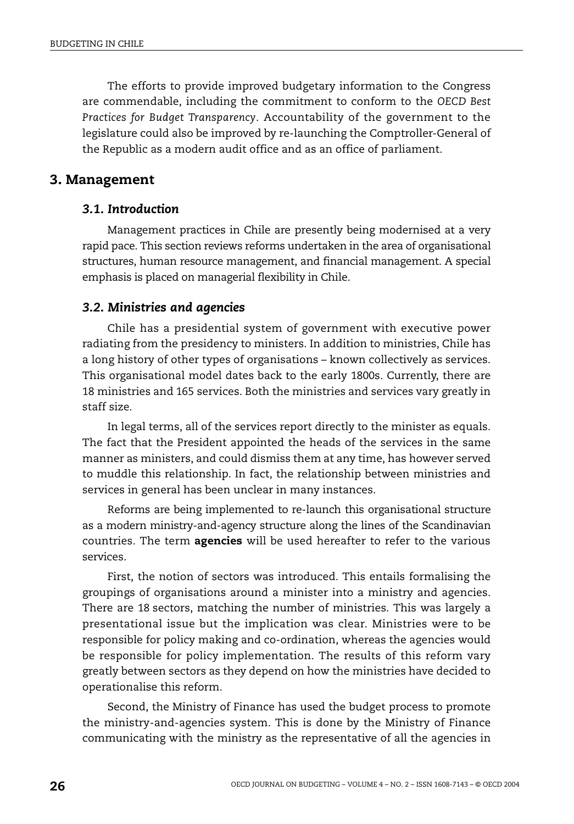The efforts to provide improved budgetary information to the Congress are commendable, including the commitment to conform to the *OECD Best Practices for Budget Transparency*. Accountability of the government to the legislature could also be improved by re-launching the Comptroller-General of the Republic as a modern audit office and as an office of parliament.

#### **3. Management**

## *3.1. Introduction*

Management practices in Chile are presently being modernised at a very rapid pace. This section reviews reforms undertaken in the area of organisational structures, human resource management, and financial management. A special emphasis is placed on managerial flexibility in Chile.

#### *3.2. Ministries and agencies*

Chile has a presidential system of government with executive power radiating from the presidency to ministers. In addition to ministries, Chile has a long history of other types of organisations – known collectively as services. This organisational model dates back to the early 1800s. Currently, there are 18 ministries and 165 services. Both the ministries and services vary greatly in staff size.

In legal terms, all of the services report directly to the minister as equals. The fact that the President appointed the heads of the services in the same manner as ministers, and could dismiss them at any time, has however served to muddle this relationship. In fact, the relationship between ministries and services in general has been unclear in many instances.

Reforms are being implemented to re-launch this organisational structure as a modern ministry-and-agency structure along the lines of the Scandinavian countries. The term **agencies** will be used hereafter to refer to the various services.

First, the notion of sectors was introduced. This entails formalising the groupings of organisations around a minister into a ministry and agencies. There are 18 sectors, matching the number of ministries. This was largely a presentational issue but the implication was clear. Ministries were to be responsible for policy making and co-ordination, whereas the agencies would be responsible for policy implementation. The results of this reform vary greatly between sectors as they depend on how the ministries have decided to operationalise this reform.

Second, the Ministry of Finance has used the budget process to promote the ministry-and-agencies system. This is done by the Ministry of Finance communicating with the ministry as the representative of all the agencies in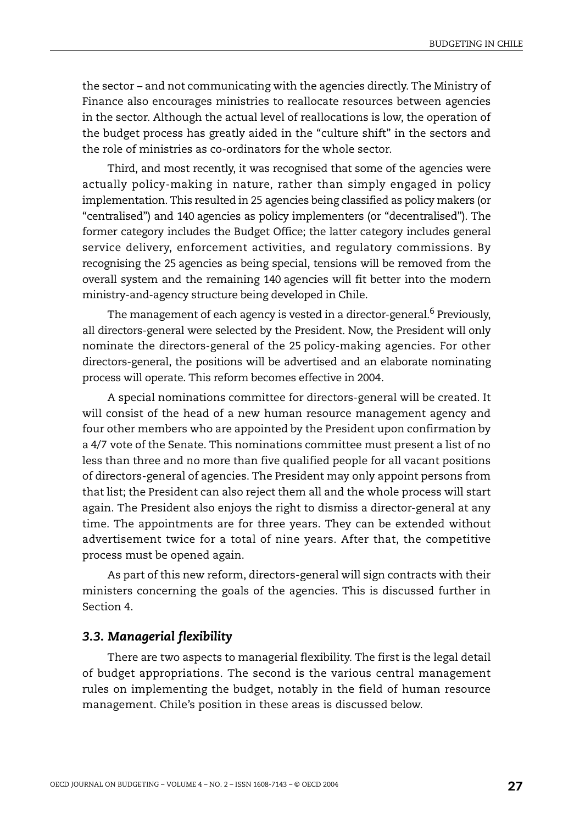the sector – and not communicating with the agencies directly. The Ministry of Finance also encourages ministries to reallocate resources between agencies in the sector. Although the actual level of reallocations is low, the operation of the budget process has greatly aided in the "culture shift" in the sectors and the role of ministries as co-ordinators for the whole sector.

Third, and most recently, it was recognised that some of the agencies were actually policy-making in nature, rather than simply engaged in policy implementation. This resulted in 25 agencies being classified as policy makers (or "centralised") and 140 agencies as policy implementers (or "decentralised"). The former category includes the Budget Office; the latter category includes general service delivery, enforcement activities, and regulatory commissions. By recognising the 25 agencies as being special, tensions will be removed from the overall system and the remaining 140 agencies will fit better into the modern ministry-and-agency structure being developed in Chile.

The management of each agency is vested in a director-general.<sup>6</sup> Previously, all directors-general were selected by the President. Now, the President will only nominate the directors-general of the 25 policy-making agencies. For other directors-general, the positions will be advertised and an elaborate nominating process will operate. This reform becomes effective in 2004.

A special nominations committee for directors-general will be created. It will consist of the head of a new human resource management agency and four other members who are appointed by the President upon confirmation by a 4/7 vote of the Senate. This nominations committee must present a list of no less than three and no more than five qualified people for all vacant positions of directors-general of agencies. The President may only appoint persons from that list; the President can also reject them all and the whole process will start again. The President also enjoys the right to dismiss a director-general at any time. The appointments are for three years. They can be extended without advertisement twice for a total of nine years. After that, the competitive process must be opened again.

As part of this new reform, directors-general will sign contracts with their ministers concerning the goals of the agencies. This is discussed further in Section 4.

#### *3.3. Managerial flexibility*

There are two aspects to managerial flexibility. The first is the legal detail of budget appropriations. The second is the various central management rules on implementing the budget, notably in the field of human resource management. Chile's position in these areas is discussed below.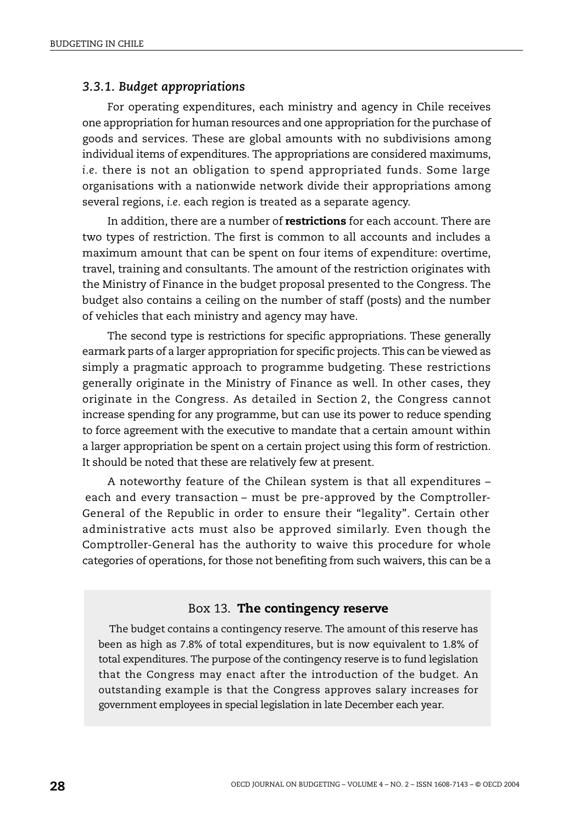#### *3.3.1. Budget appropriations*

For operating expenditures, each ministry and agency in Chile receives one appropriation for human resources and one appropriation for the purchase of goods and services. These are global amounts with no subdivisions among individual items of expenditures. The appropriations are considered maximums, *i.e*. there is not an obligation to spend appropriated funds. Some large organisations with a nationwide network divide their appropriations among several regions, *i.e*. each region is treated as a separate agency.

In addition, there are a number of **restrictions** for each account. There are two types of restriction. The first is common to all accounts and includes a maximum amount that can be spent on four items of expenditure: overtime, travel, training and consultants. The amount of the restriction originates with the Ministry of Finance in the budget proposal presented to the Congress. The budget also contains a ceiling on the number of staff (posts) and the number of vehicles that each ministry and agency may have.

The second type is restrictions for specific appropriations. These generally earmark parts of a larger appropriation for specific projects. This can be viewed as simply a pragmatic approach to programme budgeting. These restrictions generally originate in the Ministry of Finance as well. In other cases, they originate in the Congress. As detailed in Section 2, the Congress cannot increase spending for any programme, but can use its power to reduce spending to force agreement with the executive to mandate that a certain amount within a larger appropriation be spent on a certain project using this form of restriction. It should be noted that these are relatively few at present.

A noteworthy feature of the Chilean system is that all expenditures – each and every transaction – must be pre-approved by the Comptroller-General of the Republic in order to ensure their "legality". Certain other administrative acts must also be approved similarly. Even though the Comptroller-General has the authority to waive this procedure for whole categories of operations, for those not benefiting from such waivers, this can be a

#### Box 13. **The contingency reserve**

The budget contains a contingency reserve. The amount of this reserve has been as high as 7.8% of total expenditures, but is now equivalent to 1.8% of total expenditures. The purpose of the contingency reserve is to fund legislation that the Congress may enact after the introduction of the budget. An outstanding example is that the Congress approves salary increases for government employees in special legislation in late December each year.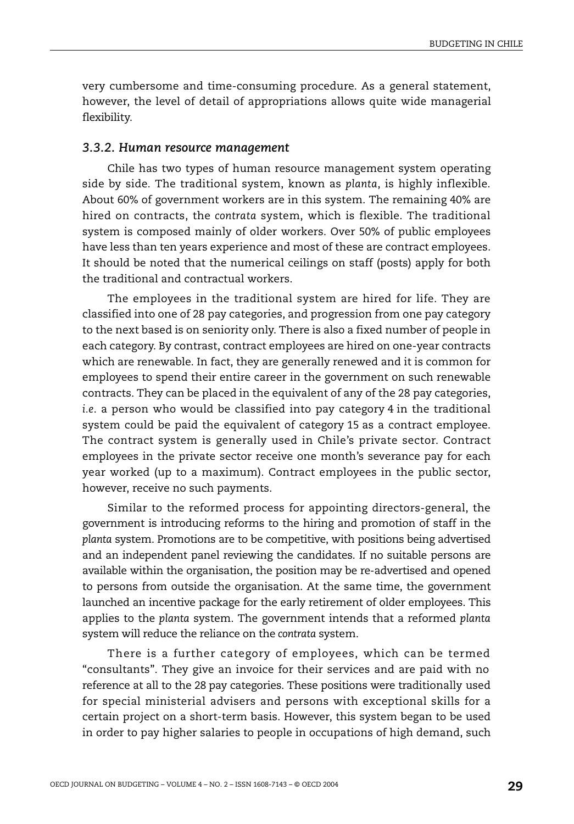very cumbersome and time-consuming procedure. As a general statement, however, the level of detail of appropriations allows quite wide managerial flexibility.

#### *3.3.2. Human resource management*

Chile has two types of human resource management system operating side by side. The traditional system, known as *planta*, is highly inflexible. About 60% of government workers are in this system. The remaining 40% are hired on contracts, the *contrata* system, which is flexible. The traditional system is composed mainly of older workers. Over 50% of public employees have less than ten years experience and most of these are contract employees. It should be noted that the numerical ceilings on staff (posts) apply for both the traditional and contractual workers.

The employees in the traditional system are hired for life. They are classified into one of 28 pay categories, and progression from one pay category to the next based is on seniority only. There is also a fixed number of people in each category. By contrast, contract employees are hired on one-year contracts which are renewable. In fact, they are generally renewed and it is common for employees to spend their entire career in the government on such renewable contracts. They can be placed in the equivalent of any of the 28 pay categories, *i.e*. a person who would be classified into pay category 4 in the traditional system could be paid the equivalent of category 15 as a contract employee. The contract system is generally used in Chile's private sector. Contract employees in the private sector receive one month's severance pay for each year worked (up to a maximum). Contract employees in the public sector, however, receive no such payments.

Similar to the reformed process for appointing directors-general, the government is introducing reforms to the hiring and promotion of staff in the *planta* system. Promotions are to be competitive, with positions being advertised and an independent panel reviewing the candidates. If no suitable persons are available within the organisation, the position may be re-advertised and opened to persons from outside the organisation. At the same time, the government launched an incentive package for the early retirement of older employees. This applies to the *planta* system. The government intends that a reformed *planta* system will reduce the reliance on the *contrata* system.

There is a further category of employees, which can be termed "consultants". They give an invoice for their services and are paid with no reference at all to the 28 pay categories. These positions were traditionally used for special ministerial advisers and persons with exceptional skills for a certain project on a short-term basis. However, this system began to be used in order to pay higher salaries to people in occupations of high demand, such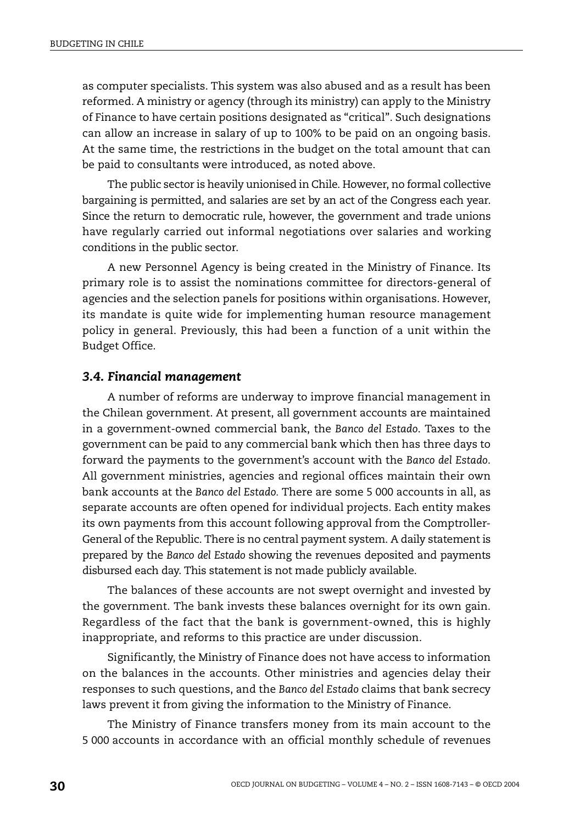as computer specialists. This system was also abused and as a result has been reformed. A ministry or agency (through its ministry) can apply to the Ministry of Finance to have certain positions designated as "critical". Such designations can allow an increase in salary of up to 100% to be paid on an ongoing basis. At the same time, the restrictions in the budget on the total amount that can be paid to consultants were introduced, as noted above.

The public sector is heavily unionised in Chile. However, no formal collective bargaining is permitted, and salaries are set by an act of the Congress each year. Since the return to democratic rule, however, the government and trade unions have regularly carried out informal negotiations over salaries and working conditions in the public sector.

A new Personnel Agency is being created in the Ministry of Finance. Its primary role is to assist the nominations committee for directors-general of agencies and the selection panels for positions within organisations. However, its mandate is quite wide for implementing human resource management policy in general. Previously, this had been a function of a unit within the Budget Office.

## *3.4. Financial management*

A number of reforms are underway to improve financial management in the Chilean government. At present, all government accounts are maintained in a government-owned commercial bank, the *Banco del Estado*. Taxes to the government can be paid to any commercial bank which then has three days to forward the payments to the government's account with the *Banco del Estado*. All government ministries, agencies and regional offices maintain their own bank accounts at the *Banco del Estado.* There are some 5 000 accounts in all, as separate accounts are often opened for individual projects. Each entity makes its own payments from this account following approval from the Comptroller-General of the Republic. There is no central payment system. A daily statement is prepared by the *Banco del Estado* showing the revenues deposited and payments disbursed each day. This statement is not made publicly available.

The balances of these accounts are not swept overnight and invested by the government. The bank invests these balances overnight for its own gain. Regardless of the fact that the bank is government-owned, this is highly inappropriate, and reforms to this practice are under discussion.

Significantly, the Ministry of Finance does not have access to information on the balances in the accounts. Other ministries and agencies delay their responses to such questions, and the *Banco del Estado* claims that bank secrecy laws prevent it from giving the information to the Ministry of Finance.

The Ministry of Finance transfers money from its main account to the 5 000 accounts in accordance with an official monthly schedule of revenues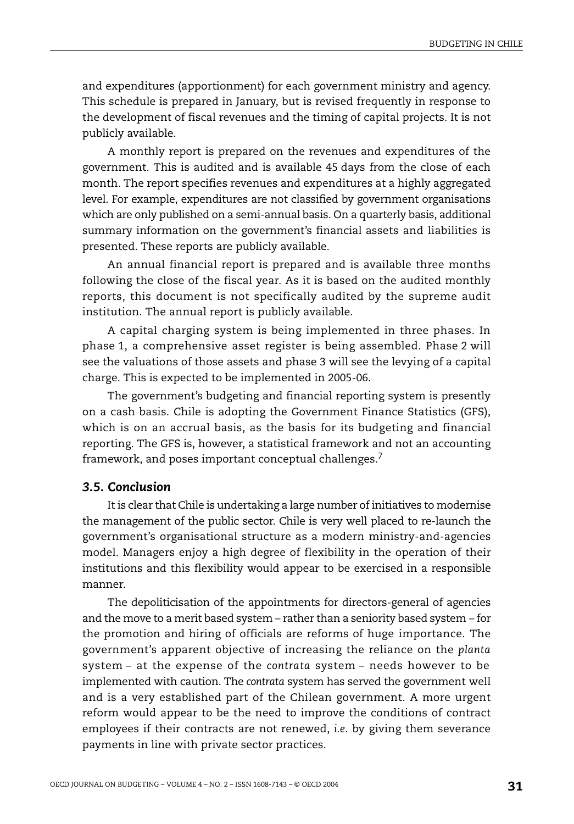and expenditures (apportionment) for each government ministry and agency. This schedule is prepared in January, but is revised frequently in response to the development of fiscal revenues and the timing of capital projects. It is not publicly available.

A monthly report is prepared on the revenues and expenditures of the government. This is audited and is available 45 days from the close of each month. The report specifies revenues and expenditures at a highly aggregated level. For example, expenditures are not classified by government organisations which are only published on a semi-annual basis. On a quarterly basis, additional summary information on the government's financial assets and liabilities is presented. These reports are publicly available.

An annual financial report is prepared and is available three months following the close of the fiscal year. As it is based on the audited monthly reports, this document is not specifically audited by the supreme audit institution. The annual report is publicly available.

A capital charging system is being implemented in three phases. In phase 1, a comprehensive asset register is being assembled. Phase 2 will see the valuations of those assets and phase 3 will see the levying of a capital charge. This is expected to be implemented in 2005-06.

The government's budgeting and financial reporting system is presently on a cash basis. Chile is adopting the Government Finance Statistics (GFS), which is on an accrual basis, as the basis for its budgeting and financial reporting. The GFS is, however, a statistical framework and not an accounting framework, and poses important conceptual challenges.<sup>7</sup>

## *3.5. Conclusion*

It is clear that Chile is undertaking a large number of initiatives to modernise the management of the public sector. Chile is very well placed to re-launch the government's organisational structure as a modern ministry-and-agencies model. Managers enjoy a high degree of flexibility in the operation of their institutions and this flexibility would appear to be exercised in a responsible manner.

The depoliticisation of the appointments for directors-general of agencies and the move to a merit based system – rather than a seniority based system – for the promotion and hiring of officials are reforms of huge importance. The government's apparent objective of increasing the reliance on the *planta* system – at the expense of the *contrata* system – needs however to be implemented with caution. The *contrata* system has served the government well and is a very established part of the Chilean government. A more urgent reform would appear to be the need to improve the conditions of contract employees if their contracts are not renewed, *i.e*. by giving them severance payments in line with private sector practices.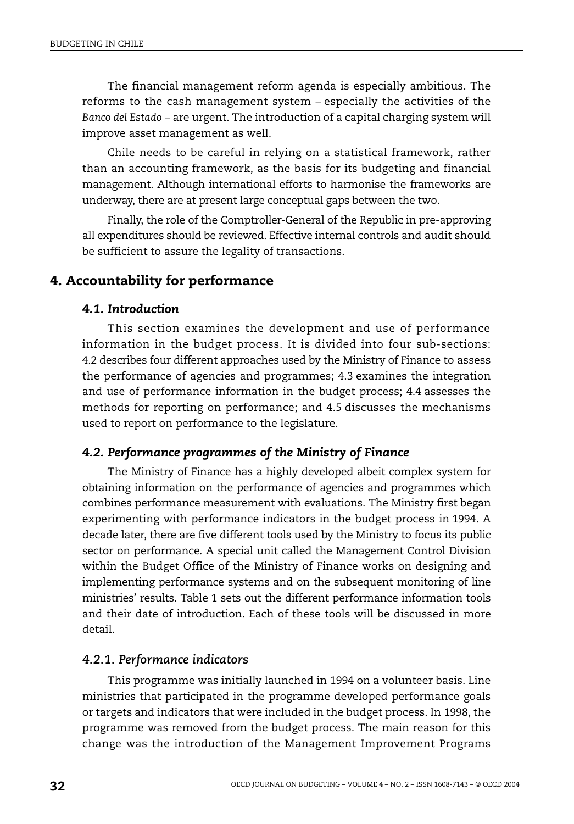The financial management reform agenda is especially ambitious. The reforms to the cash management system – especially the activities of the *Banco del Estado* – are urgent. The introduction of a capital charging system will improve asset management as well.

Chile needs to be careful in relying on a statistical framework, rather than an accounting framework, as the basis for its budgeting and financial management. Although international efforts to harmonise the frameworks are underway, there are at present large conceptual gaps between the two.

Finally, the role of the Comptroller-General of the Republic in pre-approving all expenditures should be reviewed. Effective internal controls and audit should be sufficient to assure the legality of transactions.

## **4. Accountability for performance**

## *4.1. Introduction*

This section examines the development and use of performance information in the budget process. It is divided into four sub-sections: 4.2 describes four different approaches used by the Ministry of Finance to assess the performance of agencies and programmes; 4.3 examines the integration and use of performance information in the budget process; 4.4 assesses the methods for reporting on performance; and 4.5 discusses the mechanisms used to report on performance to the legislature.

## *4.2. Performance programmes of the Ministry of Finance*

The Ministry of Finance has a highly developed albeit complex system for obtaining information on the performance of agencies and programmes which combines performance measurement with evaluations. The Ministry first began experimenting with performance indicators in the budget process in 1994. A decade later, there are five different tools used by the Ministry to focus its public sector on performance. A special unit called the Management Control Division within the Budget Office of the Ministry of Finance works on designing and implementing performance systems and on the subsequent monitoring of line ministries' results. [Table 1](#page-26-0) sets out the different performance information tools and their date of introduction. Each of these tools will be discussed in more detail.

#### *4.2.1. Performance indicators*

This programme was initially launched in 1994 on a volunteer basis. Line ministries that participated in the programme developed performance goals or targets and indicators that were included in the budget process. In 1998, the programme was removed from the budget process. The main reason for this change was the introduction of the Management Improvement Programs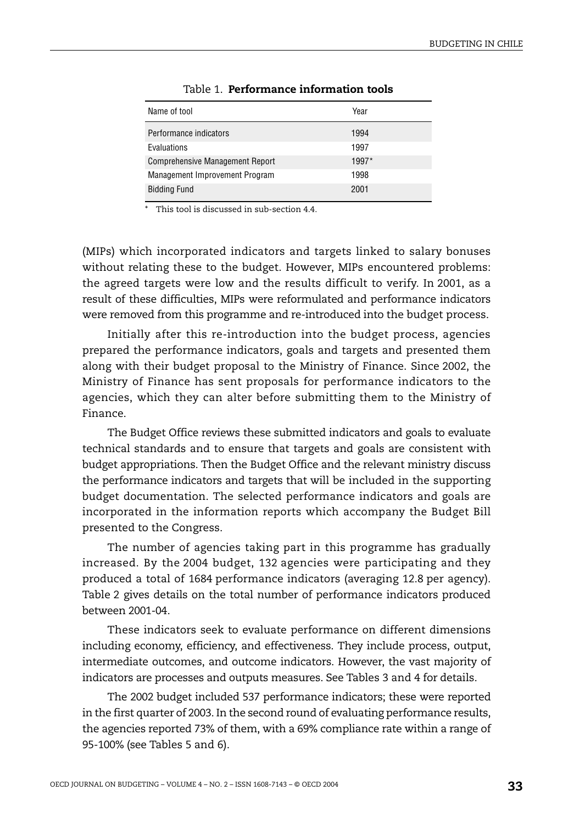<span id="page-26-0"></span>

| Name of tool                           | Year  |
|----------------------------------------|-------|
| Performance indicators                 | 1994  |
| Evaluations                            | 1997  |
| <b>Comprehensive Management Report</b> | 1997* |
| Management Improvement Program         | 1998  |
| <b>Bidding Fund</b>                    | 2001  |

#### Table 1. **Performance information tools**

This tool is discussed in sub-section 4.4.

(MIPs) which incorporated indicators and targets linked to salary bonuses without relating these to the budget. However, MIPs encountered problems: the agreed targets were low and the results difficult to verify. In 2001, as a result of these difficulties, MIPs were reformulated and performance indicators were removed from this programme and re-introduced into the budget process.

Initially after this re-introduction into the budget process, agencies prepared the performance indicators, goals and targets and presented them along with their budget proposal to the Ministry of Finance. Since 2002, the Ministry of Finance has sent proposals for performance indicators to the agencies, which they can alter before submitting them to the Ministry of Finance.

The Budget Office reviews these submitted indicators and goals to evaluate technical standards and to ensure that targets and goals are consistent with budget appropriations. Then the Budget Office and the relevant ministry discuss the performance indicators and targets that will be included in the supporting budget documentation. The selected performance indicators and goals are incorporated in the information reports which accompany the Budget Bill presented to the Congress.

The number of agencies taking part in this programme has gradually increased. By the 2004 budget, 132 agencies were participating and they produced a total of 1684 performance indicators (averaging 12.8 per agency). [Table 2](#page-27-1) gives details on the total number of performance indicators produced between 2001-04.

These indicators seek to evaluate performance on different dimensions including economy, efficiency, and effectiveness. They include process, output, intermediate outcomes, and outcome indicators. However, the vast majority of indicators are processes and outputs measures. See [Tables 3](#page-27-0) and 4 for details.

The 2002 budget included 537 performance indicators; these were reported in the first quarter of 2003. In the second round of evaluating performance results, the agencies reported 73% of them, with a 69% compliance rate within a range of 95-100% (see Tables 5 [and 6\)](#page-28-0).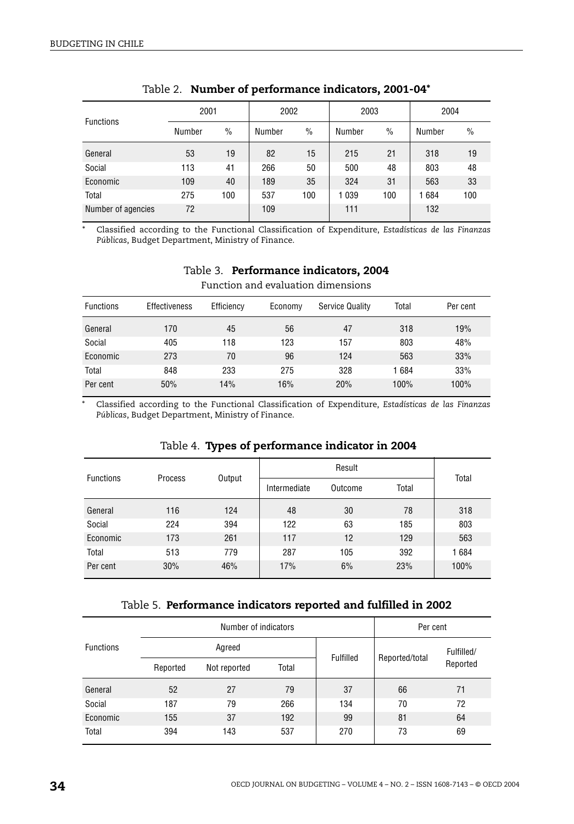<span id="page-27-1"></span>

| <b>Functions</b>   | 2001   |               | 2002   |               | 2003    |               | 2004   |               |
|--------------------|--------|---------------|--------|---------------|---------|---------------|--------|---------------|
|                    | Number | $\frac{0}{0}$ | Number | $\frac{0}{0}$ | Number  | $\frac{0}{0}$ | Number | $\frac{0}{0}$ |
| General            | 53     | 19            | 82     | 15            | 215     | 21            | 318    | 19            |
| Social             | 113    | 41            | 266    | 50            | 500     | 48            | 803    | 48            |
| Economic           | 109    | 40            | 189    | 35            | 324     | 31            | 563    | 33            |
| Total              | 275    | 100           | 537    | 100           | 1 0 3 9 | 100           | 1684   | 100           |
| Number of agencies | 72     |               | 109    |               | 111     |               | 132    |               |

|  |  | Table 2. Number of performance indicators, 2001-04* |  |  |
|--|--|-----------------------------------------------------|--|--|
|--|--|-----------------------------------------------------|--|--|

\* Classified according to the Functional Classification of Expenditure, *Estadísticas de las Finanzas Públicas*, Budget Department, Ministry of Finance.

<span id="page-27-0"></span>

| Function and evaluation dimensions |                      |            |         |                 |       |          |
|------------------------------------|----------------------|------------|---------|-----------------|-------|----------|
| <b>Functions</b>                   | <b>Effectiveness</b> | Efficiency | Economy | Service Quality | Total | Per cent |
| General                            | 170                  | 45         | 56      | 47              | 318   | 19%      |
| Social                             | 405                  | 118        | 123     | 157             | 803   | 48%      |
| Economic                           | 273                  | 70         | 96      | 124             | 563   | 33%      |
| Total                              | 848                  | 233        | 275     | 328             | 1684  | 33%      |
| Per cent                           | 50%                  | 14%        | 16%     | 20%             | 100%  | 100%     |

# Table 3. **Performance indicators, 2004**

\* Classified according to the Functional Classification of Expenditure, *Estadísticas de las Finanzas Públicas*, Budget Department, Ministry of Finance.

| <b>Functions</b> | Process | Output |              |         |       |       |
|------------------|---------|--------|--------------|---------|-------|-------|
|                  |         |        | Intermediate | Outcome | Total | Total |
| General          | 116     | 124    | 48           | 30      | 78    | 318   |
| Social           | 224     | 394    | 122          | 63      | 185   | 803   |
| Economic         | 173     | 261    | 117          | 12      | 129   | 563   |
| Total            | 513     | 779    | 287          | 105     | 392   | 1684  |
| Per cent         | 30%     | 46%    | 17%          | 6%      | 23%   | 100%  |

#### Table 4. **Types of performance indicator in 2004**

#### Table 5. **Performance indicators reported and fulfilled in 2002**

|                  |          | Number of indicators | Per cent |           |                |            |
|------------------|----------|----------------------|----------|-----------|----------------|------------|
| <b>Functions</b> | Agreed   |                      |          |           |                | Fulfilled/ |
|                  | Reported | Not reported         | Total    | Fulfilled | Reported/total | Reported   |
| General          | 52       | 27                   | 79       | 37        | 66             | 71         |
| Social           | 187      | 79                   | 266      | 134       | 70             | 72         |
| Economic         | 155      | 37                   | 192      | 99        | 81             | 64         |
| Total            | 394      | 143                  | 537      | 270       | 73             | 69         |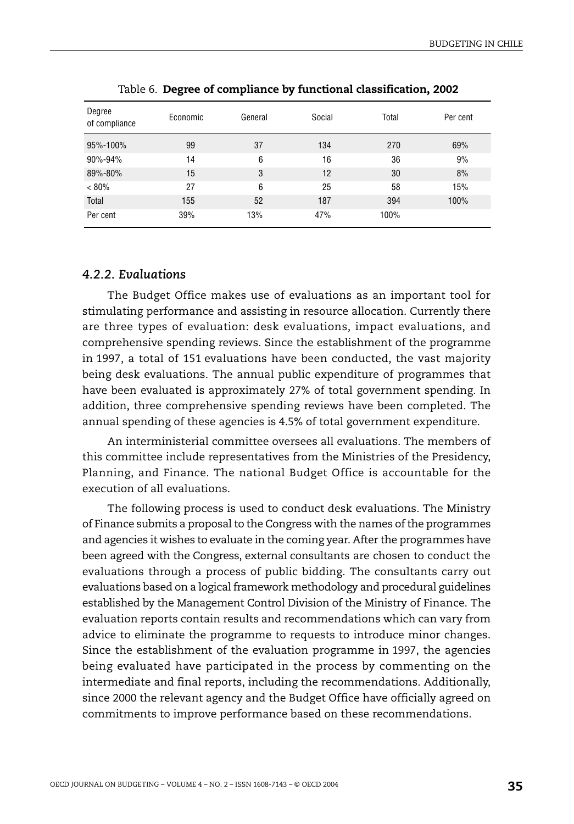<span id="page-28-0"></span>

| Degree<br>of compliance | Economic | General | Social | Total | Per cent |
|-------------------------|----------|---------|--------|-------|----------|
| 95%-100%                | 99       | 37      | 134    | 270   | 69%      |
| 90%-94%                 | 14       | 6       | 16     | 36    | 9%       |
| 89%-80%                 | 15       | 3       | 12     | 30    | 8%       |
| $< 80\%$                | 27       | 6       | 25     | 58    | 15%      |
| Total                   | 155      | 52      | 187    | 394   | 100%     |
| Per cent                | 39%      | 13%     | 47%    | 100%  |          |
|                         |          |         |        |       |          |

Table 6. **Degree of compliance by functional classification, 2002**

## *4.2.2. Evaluations*

The Budget Office makes use of evaluations as an important tool for stimulating performance and assisting in resource allocation. Currently there are three types of evaluation: desk evaluations, impact evaluations, and comprehensive spending reviews. Since the establishment of the programme in 1997, a total of 151 evaluations have been conducted, the vast majority being desk evaluations. The annual public expenditure of programmes that have been evaluated is approximately 27% of total government spending. In addition, three comprehensive spending reviews have been completed. The annual spending of these agencies is 4.5% of total government expenditure.

An interministerial committee oversees all evaluations. The members of this committee include representatives from the Ministries of the Presidency, Planning, and Finance. The national Budget Office is accountable for the execution of all evaluations.

The following process is used to conduct desk evaluations. The Ministry of Finance submits a proposal to the Congress with the names of the programmes and agencies it wishes to evaluate in the coming year. After the programmes have been agreed with the Congress, external consultants are chosen to conduct the evaluations through a process of public bidding. The consultants carry out evaluations based on a logical framework methodology and procedural guidelines established by the Management Control Division of the Ministry of Finance. The evaluation reports contain results and recommendations which can vary from advice to eliminate the programme to requests to introduce minor changes. Since the establishment of the evaluation programme in 1997, the agencies being evaluated have participated in the process by commenting on the intermediate and final reports, including the recommendations. Additionally, since 2000 the relevant agency and the Budget Office have officially agreed on commitments to improve performance based on these recommendations.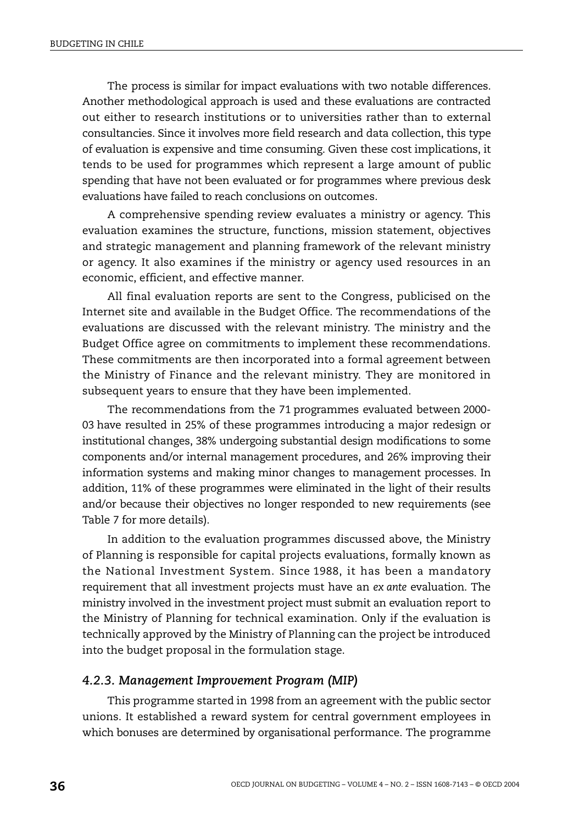The process is similar for impact evaluations with two notable differences. Another methodological approach is used and these evaluations are contracted out either to research institutions or to universities rather than to external consultancies. Since it involves more field research and data collection, this type of evaluation is expensive and time consuming. Given these cost implications, it tends to be used for programmes which represent a large amount of public spending that have not been evaluated or for programmes where previous desk evaluations have failed to reach conclusions on outcomes.

A comprehensive spending review evaluates a ministry or agency. This evaluation examines the structure, functions, mission statement, objectives and strategic management and planning framework of the relevant ministry or agency. It also examines if the ministry or agency used resources in an economic, efficient, and effective manner.

All final evaluation reports are sent to the Congress, publicised on the Internet site and available in the Budget Office. The recommendations of the evaluations are discussed with the relevant ministry. The ministry and the Budget Office agree on commitments to implement these recommendations. These commitments are then incorporated into a formal agreement between the Ministry of Finance and the relevant ministry. They are monitored in subsequent years to ensure that they have been implemented.

The recommendations from the 71 programmes evaluated between 2000- 03 have resulted in 25% of these programmes introducing a major redesign or institutional changes, 38% undergoing substantial design modifications to some components and/or internal management procedures, and 26% improving their information systems and making minor changes to management processes. In addition, 11% of these programmes were eliminated in the light of their results and/or because their objectives no longer responded to new requirements (see [Table 7](#page-30-0) for more details).

In addition to the evaluation programmes discussed above, the Ministry of Planning is responsible for capital projects evaluations, formally known as the National Investment System. Since 1988, it has been a mandatory requirement that all investment projects must have an *ex ante* evaluation. The ministry involved in the investment project must submit an evaluation report to the Ministry of Planning for technical examination. Only if the evaluation is technically approved by the Ministry of Planning can the project be introduced into the budget proposal in the formulation stage.

#### *4.2.3. Management Improvement Program (MIP)*

This programme started in 1998 from an agreement with the public sector unions. It established a reward system for central government employees in which bonuses are determined by organisational performance. The programme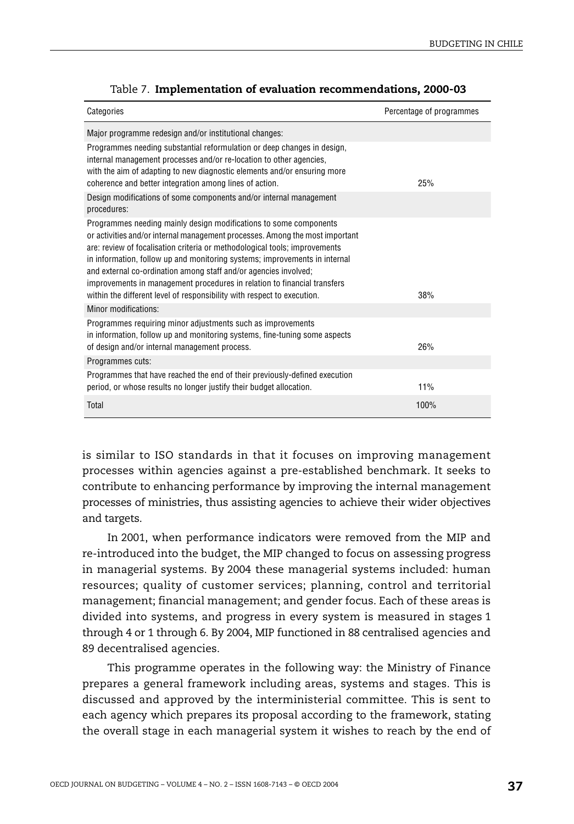<span id="page-30-0"></span>

| Categories                                                                                                                                                                                                                                                                                                                                                                                                                                                                                                                               | Percentage of programmes |
|------------------------------------------------------------------------------------------------------------------------------------------------------------------------------------------------------------------------------------------------------------------------------------------------------------------------------------------------------------------------------------------------------------------------------------------------------------------------------------------------------------------------------------------|--------------------------|
| Major programme redesign and/or institutional changes:                                                                                                                                                                                                                                                                                                                                                                                                                                                                                   |                          |
| Programmes needing substantial reformulation or deep changes in design,<br>internal management processes and/or re-location to other agencies,<br>with the aim of adapting to new diagnostic elements and/or ensuring more<br>coherence and better integration among lines of action.                                                                                                                                                                                                                                                    | 25%                      |
| Design modifications of some components and/or internal management<br>procedures:                                                                                                                                                                                                                                                                                                                                                                                                                                                        |                          |
| Programmes needing mainly design modifications to some components<br>or activities and/or internal management processes. Among the most important<br>are: review of focalisation criteria or methodological tools; improvements<br>in information, follow up and monitoring systems; improvements in internal<br>and external co-ordination among staff and/or agencies involved;<br>improvements in management procedures in relation to financial transfers<br>within the different level of responsibility with respect to execution. | 38%                      |
| Minor modifications:                                                                                                                                                                                                                                                                                                                                                                                                                                                                                                                     |                          |
| Programmes requiring minor adjustments such as improvements<br>in information, follow up and monitoring systems, fine-tuning some aspects<br>of design and/or internal management process.                                                                                                                                                                                                                                                                                                                                               | 26%                      |
| Programmes cuts:                                                                                                                                                                                                                                                                                                                                                                                                                                                                                                                         |                          |
| Programmes that have reached the end of their previously-defined execution<br>period, or whose results no longer justify their budget allocation.                                                                                                                                                                                                                                                                                                                                                                                        | 11%                      |
| Total                                                                                                                                                                                                                                                                                                                                                                                                                                                                                                                                    | 100%                     |

|  |  |  | Table 7. Implementation of evaluation recommendations, 2000-03 |  |
|--|--|--|----------------------------------------------------------------|--|
|--|--|--|----------------------------------------------------------------|--|

is similar to ISO standards in that it focuses on improving management processes within agencies against a pre-established benchmark. It seeks to contribute to enhancing performance by improving the internal management processes of ministries, thus assisting agencies to achieve their wider objectives and targets.

In 2001, when performance indicators were removed from the MIP and re-introduced into the budget, the MIP changed to focus on assessing progress in managerial systems. By 2004 these managerial systems included: human resources; quality of customer services; planning, control and territorial management; financial management; and gender focus. Each of these areas is divided into systems, and progress in every system is measured in stages 1 through 4 or 1 through 6. By 2004, MIP functioned in 88 centralised agencies and 89 decentralised agencies.

This programme operates in the following way: the Ministry of Finance prepares a general framework including areas, systems and stages. This is discussed and approved by the interministerial committee. This is sent to each agency which prepares its proposal according to the framework, stating the overall stage in each managerial system it wishes to reach by the end of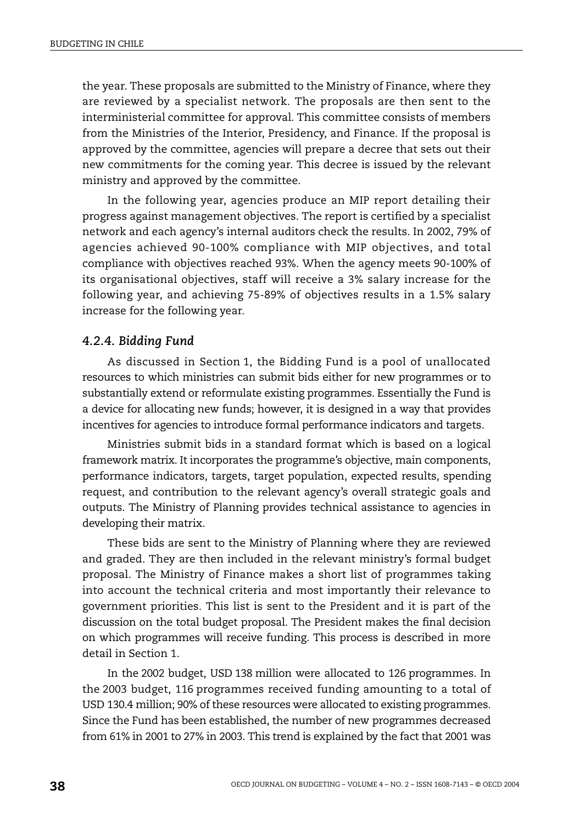the year. These proposals are submitted to the Ministry of Finance, where they are reviewed by a specialist network. The proposals are then sent to the interministerial committee for approval. This committee consists of members from the Ministries of the Interior, Presidency, and Finance. If the proposal is approved by the committee, agencies will prepare a decree that sets out their new commitments for the coming year. This decree is issued by the relevant ministry and approved by the committee.

In the following year, agencies produce an MIP report detailing their progress against management objectives. The report is certified by a specialist network and each agency's internal auditors check the results. In 2002, 79% of agencies achieved 90-100% compliance with MIP objectives, and total compliance with objectives reached 93%. When the agency meets 90-100% of its organisational objectives, staff will receive a 3% salary increase for the following year, and achieving 75-89% of objectives results in a 1.5% salary increase for the following year.

#### *4.2.4. Bidding Fund*

As discussed in Section 1, the Bidding Fund is a pool of unallocated resources to which ministries can submit bids either for new programmes or to substantially extend or reformulate existing programmes. Essentially the Fund is a device for allocating new funds; however, it is designed in a way that provides incentives for agencies to introduce formal performance indicators and targets.

Ministries submit bids in a standard format which is based on a logical framework matrix. It incorporates the programme's objective, main components, performance indicators, targets, target population, expected results, spending request, and contribution to the relevant agency's overall strategic goals and outputs. The Ministry of Planning provides technical assistance to agencies in developing their matrix.

These bids are sent to the Ministry of Planning where they are reviewed and graded. They are then included in the relevant ministry's formal budget proposal. The Ministry of Finance makes a short list of programmes taking into account the technical criteria and most importantly their relevance to government priorities. This list is sent to the President and it is part of the discussion on the total budget proposal. The President makes the final decision on which programmes will receive funding. This process is described in more detail in Section 1.

In the 2002 budget, USD 138 million were allocated to 126 programmes. In the 2003 budget, 116 programmes received funding amounting to a total of USD 130.4 million; 90% of these resources were allocated to existing programmes. Since the Fund has been established, the number of new programmes decreased from 61% in 2001 to 27% in 2003. This trend is explained by the fact that 2001 was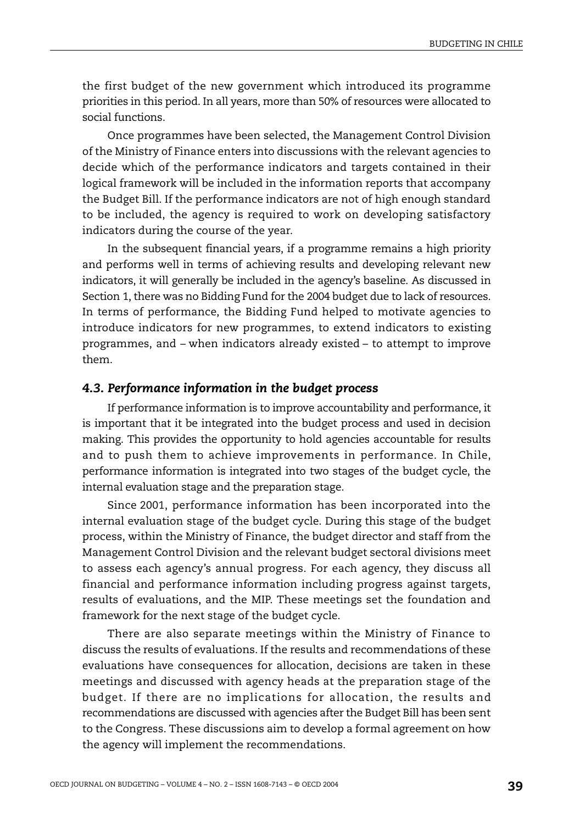the first budget of the new government which introduced its programme priorities in this period. In all years, more than 50% of resources were allocated to social functions.

Once programmes have been selected, the Management Control Division of the Ministry of Finance enters into discussions with the relevant agencies to decide which of the performance indicators and targets contained in their logical framework will be included in the information reports that accompany the Budget Bill. If the performance indicators are not of high enough standard to be included, the agency is required to work on developing satisfactory indicators during the course of the year.

In the subsequent financial years, if a programme remains a high priority and performs well in terms of achieving results and developing relevant new indicators, it will generally be included in the agency's baseline. As discussed in Section 1, there was no Bidding Fund for the 2004 budget due to lack of resources. In terms of performance, the Bidding Fund helped to motivate agencies to introduce indicators for new programmes, to extend indicators to existing programmes, and – when indicators already existed – to attempt to improve them.

#### *4.3. Performance information in the budget process*

If performance information is to improve accountability and performance, it is important that it be integrated into the budget process and used in decision making. This provides the opportunity to hold agencies accountable for results and to push them to achieve improvements in performance. In Chile, performance information is integrated into two stages of the budget cycle, the internal evaluation stage and the preparation stage.

Since 2001, performance information has been incorporated into the internal evaluation stage of the budget cycle. During this stage of the budget process, within the Ministry of Finance, the budget director and staff from the Management Control Division and the relevant budget sectoral divisions meet to assess each agency's annual progress. For each agency, they discuss all financial and performance information including progress against targets, results of evaluations, and the MIP. These meetings set the foundation and framework for the next stage of the budget cycle.

There are also separate meetings within the Ministry of Finance to discuss the results of evaluations. If the results and recommendations of these evaluations have consequences for allocation, decisions are taken in these meetings and discussed with agency heads at the preparation stage of the budget. If there are no implications for allocation, the results and recommendations are discussed with agencies after the Budget Bill has been sent to the Congress. These discussions aim to develop a formal agreement on how the agency will implement the recommendations.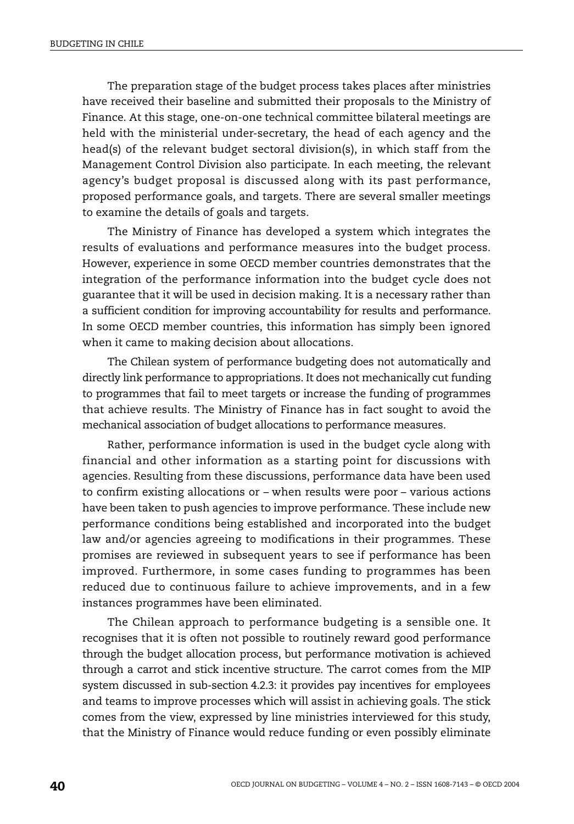The preparation stage of the budget process takes places after ministries have received their baseline and submitted their proposals to the Ministry of Finance. At this stage, one-on-one technical committee bilateral meetings are held with the ministerial under-secretary, the head of each agency and the head(s) of the relevant budget sectoral division(s), in which staff from the Management Control Division also participate. In each meeting, the relevant agency's budget proposal is discussed along with its past performance, proposed performance goals, and targets. There are several smaller meetings to examine the details of goals and targets.

The Ministry of Finance has developed a system which integrates the results of evaluations and performance measures into the budget process. However, experience in some OECD member countries demonstrates that the integration of the performance information into the budget cycle does not guarantee that it will be used in decision making. It is a necessary rather than a sufficient condition for improving accountability for results and performance. In some OECD member countries, this information has simply been ignored when it came to making decision about allocations.

The Chilean system of performance budgeting does not automatically and directly link performance to appropriations. It does not mechanically cut funding to programmes that fail to meet targets or increase the funding of programmes that achieve results. The Ministry of Finance has in fact sought to avoid the mechanical association of budget allocations to performance measures.

Rather, performance information is used in the budget cycle along with financial and other information as a starting point for discussions with agencies. Resulting from these discussions, performance data have been used to confirm existing allocations or – when results were poor – various actions have been taken to push agencies to improve performance. These include new performance conditions being established and incorporated into the budget law and/or agencies agreeing to modifications in their programmes. These promises are reviewed in subsequent years to see if performance has been improved. Furthermore, in some cases funding to programmes has been reduced due to continuous failure to achieve improvements, and in a few instances programmes have been eliminated.

The Chilean approach to performance budgeting is a sensible one. It recognises that it is often not possible to routinely reward good performance through the budget allocation process, but performance motivation is achieved through a carrot and stick incentive structure. The carrot comes from the MIP system discussed in sub-section 4.2.3: it provides pay incentives for employees and teams to improve processes which will assist in achieving goals. The stick comes from the view, expressed by line ministries interviewed for this study, that the Ministry of Finance would reduce funding or even possibly eliminate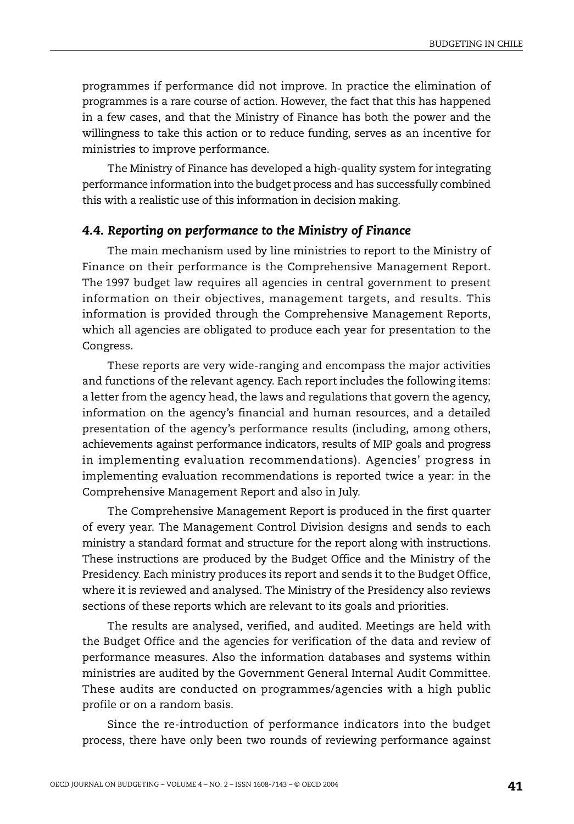programmes if performance did not improve. In practice the elimination of programmes is a rare course of action. However, the fact that this has happened in a few cases, and that the Ministry of Finance has both the power and the willingness to take this action or to reduce funding, serves as an incentive for ministries to improve performance.

The Ministry of Finance has developed a high-quality system for integrating performance information into the budget process and has successfully combined this with a realistic use of this information in decision making.

#### *4.4. Reporting on performance to the Ministry of Finance*

The main mechanism used by line ministries to report to the Ministry of Finance on their performance is the Comprehensive Management Report. The 1997 budget law requires all agencies in central government to present information on their objectives, management targets, and results. This information is provided through the Comprehensive Management Reports, which all agencies are obligated to produce each year for presentation to the Congress.

These reports are very wide-ranging and encompass the major activities and functions of the relevant agency. Each report includes the following items: a letter from the agency head, the laws and regulations that govern the agency, information on the agency's financial and human resources, and a detailed presentation of the agency's performance results (including, among others, achievements against performance indicators, results of MIP goals and progress in implementing evaluation recommendations). Agencies' progress in implementing evaluation recommendations is reported twice a year: in the Comprehensive Management Report and also in July.

The Comprehensive Management Report is produced in the first quarter of every year. The Management Control Division designs and sends to each ministry a standard format and structure for the report along with instructions. These instructions are produced by the Budget Office and the Ministry of the Presidency. Each ministry produces its report and sends it to the Budget Office, where it is reviewed and analysed. The Ministry of the Presidency also reviews sections of these reports which are relevant to its goals and priorities.

The results are analysed, verified, and audited. Meetings are held with the Budget Office and the agencies for verification of the data and review of performance measures. Also the information databases and systems within ministries are audited by the Government General Internal Audit Committee. These audits are conducted on programmes/agencies with a high public profile or on a random basis.

Since the re-introduction of performance indicators into the budget process, there have only been two rounds of reviewing performance against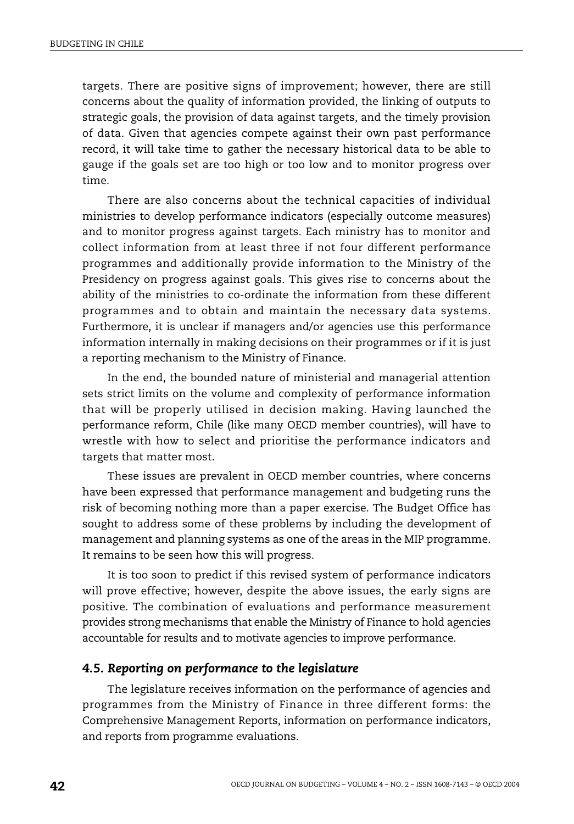targets. There are positive signs of improvement; however, there are still concerns about the quality of information provided, the linking of outputs to strategic goals, the provision of data against targets, and the timely provision of data. Given that agencies compete against their own past performance record, it will take time to gather the necessary historical data to be able to gauge if the goals set are too high or too low and to monitor progress over time.

There are also concerns about the technical capacities of individual ministries to develop performance indicators (especially outcome measures) and to monitor progress against targets. Each ministry has to monitor and collect information from at least three if not four different performance programmes and additionally provide information to the Ministry of the Presidency on progress against goals. This gives rise to concerns about the ability of the ministries to co-ordinate the information from these different programmes and to obtain and maintain the necessary data systems. Furthermore, it is unclear if managers and/or agencies use this performance information internally in making decisions on their programmes or if it is just a reporting mechanism to the Ministry of Finance.

In the end, the bounded nature of ministerial and managerial attention sets strict limits on the volume and complexity of performance information that will be properly utilised in decision making. Having launched the performance reform, Chile (like many OECD member countries), will have to wrestle with how to select and prioritise the performance indicators and targets that matter most.

These issues are prevalent in OECD member countries, where concerns have been expressed that performance management and budgeting runs the risk of becoming nothing more than a paper exercise. The Budget Office has sought to address some of these problems by including the development of management and planning systems as one of the areas in the MIP programme. It remains to be seen how this will progress.

It is too soon to predict if this revised system of performance indicators will prove effective; however, despite the above issues, the early signs are positive. The combination of evaluations and performance measurement provides strong mechanisms that enable the Ministry of Finance to hold agencies accountable for results and to motivate agencies to improve performance.

#### *4.5. Reporting on performance to the legislature*

The legislature receives information on the performance of agencies and programmes from the Ministry of Finance in three different forms: the Comprehensive Management Reports, information on performance indicators, and reports from programme evaluations.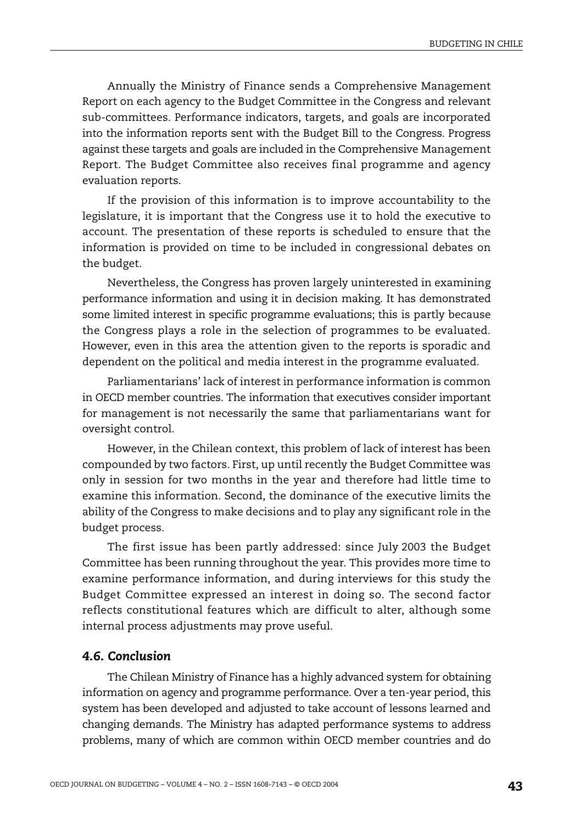Annually the Ministry of Finance sends a Comprehensive Management Report on each agency to the Budget Committee in the Congress and relevant sub-committees. Performance indicators, targets, and goals are incorporated into the information reports sent with the Budget Bill to the Congress. Progress against these targets and goals are included in the Comprehensive Management Report. The Budget Committee also receives final programme and agency evaluation reports.

If the provision of this information is to improve accountability to the legislature, it is important that the Congress use it to hold the executive to account. The presentation of these reports is scheduled to ensure that the information is provided on time to be included in congressional debates on the budget.

Nevertheless, the Congress has proven largely uninterested in examining performance information and using it in decision making. It has demonstrated some limited interest in specific programme evaluations; this is partly because the Congress plays a role in the selection of programmes to be evaluated. However, even in this area the attention given to the reports is sporadic and dependent on the political and media interest in the programme evaluated.

Parliamentarians' lack of interest in performance information is common in OECD member countries. The information that executives consider important for management is not necessarily the same that parliamentarians want for oversight control.

However, in the Chilean context, this problem of lack of interest has been compounded by two factors. First, up until recently the Budget Committee was only in session for two months in the year and therefore had little time to examine this information. Second, the dominance of the executive limits the ability of the Congress to make decisions and to play any significant role in the budget process.

The first issue has been partly addressed: since July 2003 the Budget Committee has been running throughout the year. This provides more time to examine performance information, and during interviews for this study the Budget Committee expressed an interest in doing so. The second factor reflects constitutional features which are difficult to alter, although some internal process adjustments may prove useful.

#### *4.6. Conclusion*

The Chilean Ministry of Finance has a highly advanced system for obtaining information on agency and programme performance. Over a ten-year period, this system has been developed and adjusted to take account of lessons learned and changing demands. The Ministry has adapted performance systems to address problems, many of which are common within OECD member countries and do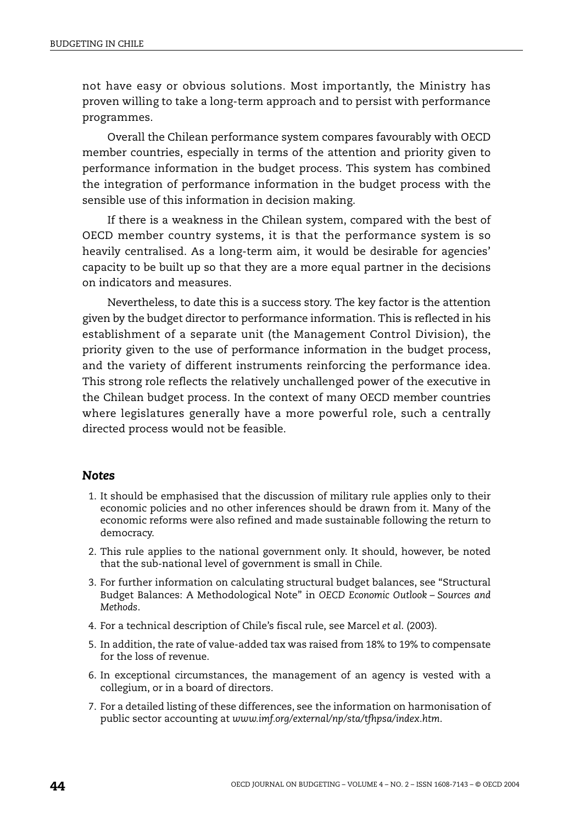not have easy or obvious solutions. Most importantly, the Ministry has proven willing to take a long-term approach and to persist with performance programmes.

Overall the Chilean performance system compares favourably with OECD member countries, especially in terms of the attention and priority given to performance information in the budget process. This system has combined the integration of performance information in the budget process with the sensible use of this information in decision making.

If there is a weakness in the Chilean system, compared with the best of OECD member country systems, it is that the performance system is so heavily centralised. As a long-term aim, it would be desirable for agencies' capacity to be built up so that they are a more equal partner in the decisions on indicators and measures.

Nevertheless, to date this is a success story. The key factor is the attention given by the budget director to performance information. This is reflected in his establishment of a separate unit (the Management Control Division), the priority given to the use of performance information in the budget process, and the variety of different instruments reinforcing the performance idea. This strong role reflects the relatively unchallenged power of the executive in the Chilean budget process. In the context of many OECD member countries where legislatures generally have a more powerful role, such a centrally directed process would not be feasible.

#### *Notes*

- 1. It should be emphasised that the discussion of military rule applies only to their economic policies and no other inferences should be drawn from it. Many of the economic reforms were also refined and made sustainable following the return to democracy.
- 2. This rule applies to the national government only. It should, however, be noted that the sub-national level of government is small in Chile.
- 3. For further information on calculating structural budget balances, see "Structural Budget Balances: A Methodological Note" in *OECD Economic Outlook – Sources and Methods*.
- 4. For a technical description of Chile's fiscal rule, see Marcel *et al*. (2003).
- 5. In addition, the rate of value-added tax was raised from 18% to 19% to compensate for the loss of revenue.
- 6. In exceptional circumstances, the management of an agency is vested with a collegium, or in a board of directors.
- 7. For a detailed listing of these differences, see the information on harmonisation of public sector accounting at *www.imf.org/external/np/sta/tfhpsa/index.htm*.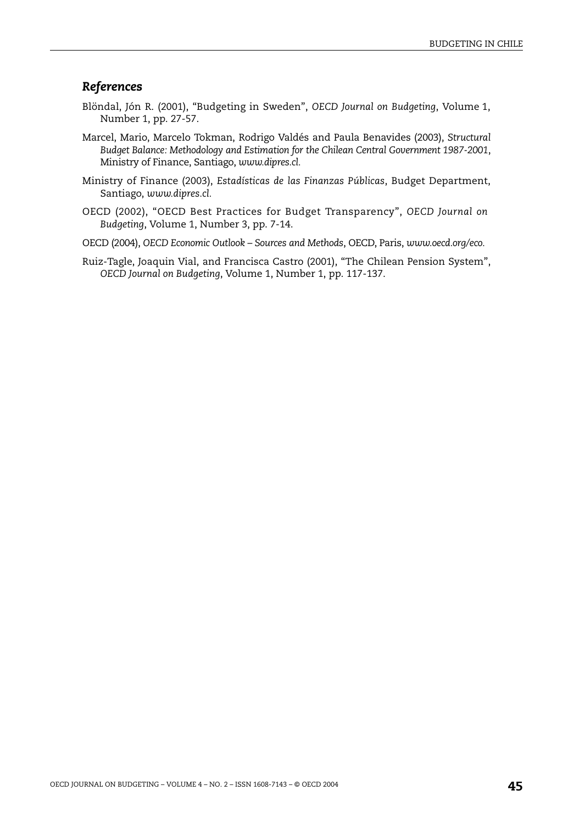#### *References*

- Blöndal, Jón R. (2001), "Budgeting in Sweden", *OECD Journal on Budgeting*, Volume 1, Number 1, pp. 27-57.
- Marcel, Mario, Marcelo Tokman, Rodrigo Valdés and Paula Benavides (2003), *Structural Budget Balance: Methodology and Estimation for the Chilean Central Government 1987-2001*, Ministry of Finance, Santiago, *www.dipres.cl.*
- Ministry of Finance (2003), *Estadísticas de las Finanzas Públicas*, Budget Department, Santiago, *www.dipres.cl.*
- OECD (2002), "OECD Best Practices for Budget Transparency", *OECD Journal on Budgeting*, Volume 1, Number 3, pp. 7-14.
- OECD (2004), *OECD Economic Outlook Sources and Methods*, OECD, Paris, *www.oecd.org/eco.*
- Ruiz-Tagle, Joaquin Vial, and Francisca Castro (2001), "The Chilean Pension System", *OECD Journal on Budgeting*, Volume 1, Number 1, pp. 117-137.